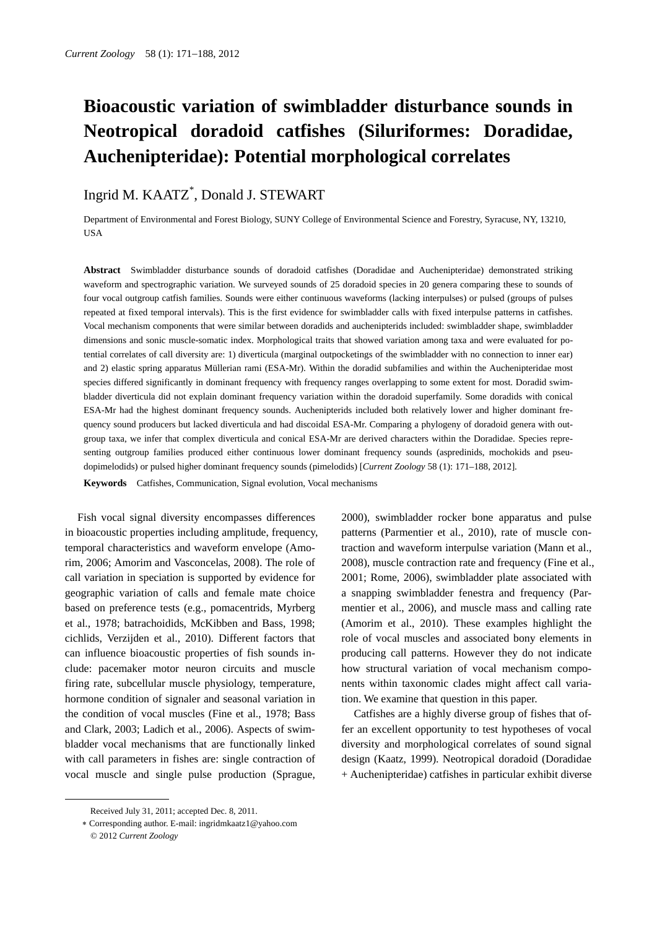# **Bioacoustic variation of swimbladder disturbance sounds in Neotropical doradoid catfishes (Siluriformes: Doradidae, Auchenipteridae): Potential morphological correlates**

## Ingrid M. KAATZ\* , Donald J. STEWART

Department of Environmental and Forest Biology, SUNY College of Environmental Science and Forestry, Syracuse, NY, 13210, USA

**Abstract** Swimbladder disturbance sounds of doradoid catfishes (Doradidae and Auchenipteridae) demonstrated striking waveform and spectrographic variation. We surveyed sounds of 25 doradoid species in 20 genera comparing these to sounds of four vocal outgroup catfish families. Sounds were either continuous waveforms (lacking interpulses) or pulsed (groups of pulses repeated at fixed temporal intervals). This is the first evidence for swimbladder calls with fixed interpulse patterns in catfishes. Vocal mechanism components that were similar between doradids and auchenipterids included: swimbladder shape, swimbladder dimensions and sonic muscle-somatic index. Morphological traits that showed variation among taxa and were evaluated for potential correlates of call diversity are: 1) diverticula (marginal outpocketings of the swimbladder with no connection to inner ear) and 2) elastic spring apparatus Müllerian rami (ESA-Mr). Within the doradid subfamilies and within the Auchenipteridae most species differed significantly in dominant frequency with frequency ranges overlapping to some extent for most. Doradid swimbladder diverticula did not explain dominant frequency variation within the doradoid superfamily. Some doradids with conical ESA-Mr had the highest dominant frequency sounds. Auchenipterids included both relatively lower and higher dominant frequency sound producers but lacked diverticula and had discoidal ESA-Mr. Comparing a phylogeny of doradoid genera with outgroup taxa, we infer that complex diverticula and conical ESA-Mr are derived characters within the Doradidae. Species representing outgroup families produced either continuous lower dominant frequency sounds (aspredinids, mochokids and pseudopimelodids) or pulsed higher dominant frequency sounds (pimelodids) [*Current Zoology* 58 (1): 171–188, 2012].

**Keywords** Catfishes, Communication, Signal evolution, Vocal mechanisms

Fish vocal signal diversity encompasses differences in bioacoustic properties including amplitude, frequency, temporal characteristics and waveform envelope (Amorim, 2006; Amorim and Vasconcelas, 2008). The role of call variation in speciation is supported by evidence for geographic variation of calls and female mate choice based on preference tests (e.g., pomacentrids, Myrberg et al., 1978; batrachoidids, McKibben and Bass, 1998; cichlids, Verzijden et al., 2010). Different factors that can influence bioacoustic properties of fish sounds include: pacemaker motor neuron circuits and muscle firing rate, subcellular muscle physiology, temperature, hormone condition of signaler and seasonal variation in the condition of vocal muscles (Fine et al., 1978; Bass and Clark, 2003; Ladich et al., 2006). Aspects of swimbladder vocal mechanisms that are functionally linked with call parameters in fishes are: single contraction of vocal muscle and single pulse production (Sprague,

 $\overline{a}$ 

2000), swimbladder rocker bone apparatus and pulse patterns (Parmentier et al., 2010), rate of muscle contraction and waveform interpulse variation (Mann et al., 2008), muscle contraction rate and frequency (Fine et al., 2001; Rome, 2006), swimbladder plate associated with a snapping swimbladder fenestra and frequency (Parmentier et al., 2006), and muscle mass and calling rate (Amorim et al., 2010). These examples highlight the role of vocal muscles and associated bony elements in producing call patterns. However they do not indicate how structural variation of vocal mechanism components within taxonomic clades might affect call variation. We examine that question in this paper.

Catfishes are a highly diverse group of fishes that offer an excellent opportunity to test hypotheses of vocal diversity and morphological correlates of sound signal design (Kaatz, 1999). Neotropical doradoid (Doradidae + Auchenipteridae) catfishes in particular exhibit diverse

Received July 31, 2011; accepted Dec. 8, 2011.

Corresponding author. E-mail: ingridmkaatz1@yahoo.com © 2012 *Current Zoology*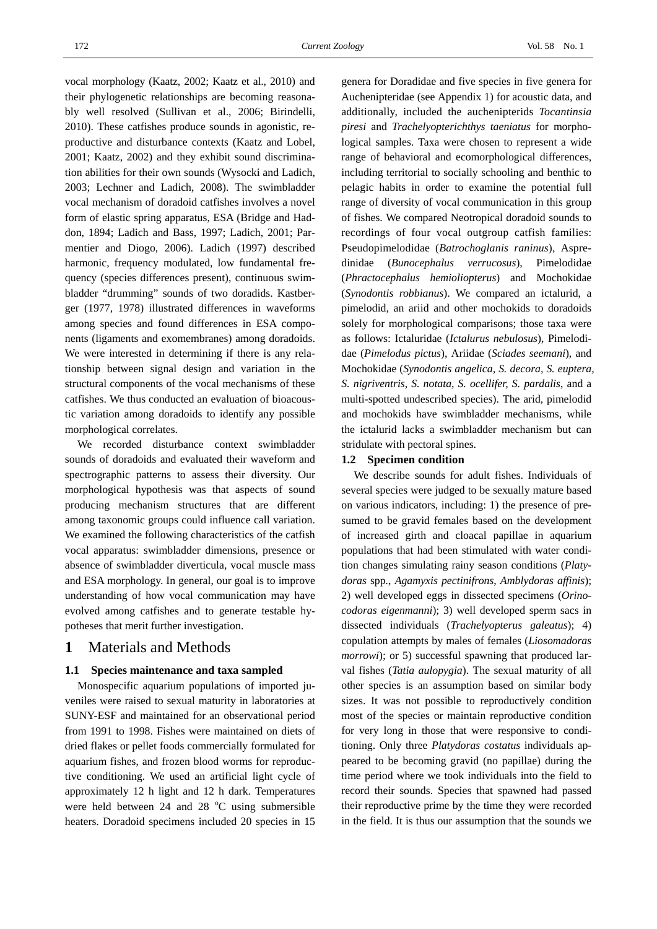vocal morphology (Kaatz, 2002; Kaatz et al., 2010) and their phylogenetic relationships are becoming reasonably well resolved (Sullivan et al., 2006; Birindelli, 2010). These catfishes produce sounds in agonistic, reproductive and disturbance contexts (Kaatz and Lobel, 2001; Kaatz, 2002) and they exhibit sound discrimination abilities for their own sounds (Wysocki and Ladich, 2003; Lechner and Ladich, 2008). The swimbladder vocal mechanism of doradoid catfishes involves a novel form of elastic spring apparatus, ESA (Bridge and Haddon, 1894; Ladich and Bass, 1997; Ladich, 2001; Parmentier and Diogo, 2006). Ladich (1997) described harmonic, frequency modulated, low fundamental frequency (species differences present), continuous swimbladder "drumming" sounds of two doradids. Kastberger (1977, 1978) illustrated differences in waveforms among species and found differences in ESA components (ligaments and exomembranes) among doradoids. We were interested in determining if there is any relationship between signal design and variation in the structural components of the vocal mechanisms of these catfishes. We thus conducted an evaluation of bioacoustic variation among doradoids to identify any possible morphological correlates.

We recorded disturbance context swimbladder sounds of doradoids and evaluated their waveform and spectrographic patterns to assess their diversity. Our morphological hypothesis was that aspects of sound producing mechanism structures that are different among taxonomic groups could influence call variation. We examined the following characteristics of the catfish vocal apparatus: swimbladder dimensions, presence or absence of swimbladder diverticula, vocal muscle mass and ESA morphology. In general, our goal is to improve understanding of how vocal communication may have evolved among catfishes and to generate testable hypotheses that merit further investigation.

## **1** Materials and Methods

#### **1.1 Species maintenance and taxa sampled**

Monospecific aquarium populations of imported juveniles were raised to sexual maturity in laboratories at SUNY-ESF and maintained for an observational period from 1991 to 1998. Fishes were maintained on diets of dried flakes or pellet foods commercially formulated for aquarium fishes, and frozen blood worms for reproductive conditioning. We used an artificial light cycle of approximately 12 h light and 12 h dark. Temperatures were held between  $24$  and  $28$  °C using submersible heaters. Doradoid specimens included 20 species in 15

genera for Doradidae and five species in five genera for Auchenipteridae (see Appendix 1) for acoustic data, and additionally, included the auchenipterids *Tocantinsia piresi* and *Trachelyopterichthys taeniatus* for morphological samples. Taxa were chosen to represent a wide range of behavioral and ecomorphological differences, including territorial to socially schooling and benthic to pelagic habits in order to examine the potential full range of diversity of vocal communication in this group of fishes. We compared Neotropical doradoid sounds to recordings of four vocal outgroup catfish families: Pseudopimelodidae (*Batrochoglanis raninus*), Aspredinidae (*Bunocephalus verrucosus*), Pimelodidae (*Phractocephalus hemioliopterus*) and Mochokidae (*Synodontis robbianus*). We compared an ictalurid, a pimelodid, an ariid and other mochokids to doradoids solely for morphological comparisons; those taxa were as follows: Ictaluridae (*Ictalurus nebulosus*), Pimelodidae (*Pimelodus pictus*), Ariidae (*Sciades seemani*), and Mochokidae (*Synodontis angelica, S. decora, S. euptera, S. nigriventris, S. notata, S. ocellifer, S. pardalis*, and a multi-spotted undescribed species). The arid, pimelodid and mochokids have swimbladder mechanisms, while the ictalurid lacks a swimbladder mechanism but can stridulate with pectoral spines.

#### **1.2 Specimen condition**

We describe sounds for adult fishes. Individuals of several species were judged to be sexually mature based on various indicators, including: 1) the presence of presumed to be gravid females based on the development of increased girth and cloacal papillae in aquarium populations that had been stimulated with water condition changes simulating rainy season conditions (*Platydoras* spp*.*, *Agamyxis pectinifrons*, *Amblydoras affinis*); 2) well developed eggs in dissected specimens (*Orinocodoras eigenmanni*); 3) well developed sperm sacs in dissected individuals (*Trachelyopterus galeatus*); 4) copulation attempts by males of females (*Liosomadoras morrowi*); or 5) successful spawning that produced larval fishes (*Tatia aulopygia*). The sexual maturity of all other species is an assumption based on similar body sizes. It was not possible to reproductively condition most of the species or maintain reproductive condition for very long in those that were responsive to conditioning. Only three *Platydoras costatus* individuals appeared to be becoming gravid (no papillae) during the time period where we took individuals into the field to record their sounds. Species that spawned had passed their reproductive prime by the time they were recorded in the field. It is thus our assumption that the sounds we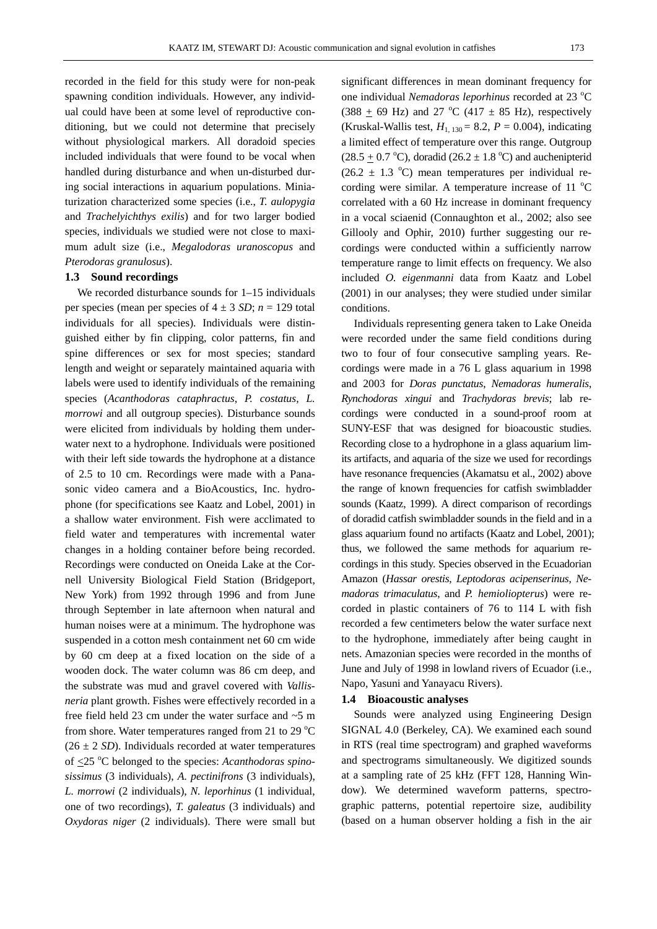recorded in the field for this study were for non-peak spawning condition individuals. However, any individual could have been at some level of reproductive conditioning, but we could not determine that precisely without physiological markers. All doradoid species included individuals that were found to be vocal when handled during disturbance and when un-disturbed during social interactions in aquarium populations. Miniaturization characterized some species (i.e., *T. aulopygia* and *Trachelyichthys exilis*) and for two larger bodied species, individuals we studied were not close to maximum adult size (i.e., *Megalodoras uranoscopus* and *Pterodoras granulosus*).

#### **1.3 Sound recordings**

We recorded disturbance sounds for 1–15 individuals per species (mean per species of  $4 \pm 3$  *SD*;  $n = 129$  total individuals for all species). Individuals were distinguished either by fin clipping, color patterns, fin and spine differences or sex for most species; standard length and weight or separately maintained aquaria with labels were used to identify individuals of the remaining species (*Acanthodoras cataphractus*, *P. costatus*, *L. morrowi* and all outgroup species). Disturbance sounds were elicited from individuals by holding them underwater next to a hydrophone. Individuals were positioned with their left side towards the hydrophone at a distance of 2.5 to 10 cm. Recordings were made with a Panasonic video camera and a BioAcoustics, Inc. hydrophone (for specifications see Kaatz and Lobel, 2001) in a shallow water environment. Fish were acclimated to field water and temperatures with incremental water changes in a holding container before being recorded. Recordings were conducted on Oneida Lake at the Cornell University Biological Field Station (Bridgeport, New York) from 1992 through 1996 and from June through September in late afternoon when natural and human noises were at a minimum. The hydrophone was suspended in a cotton mesh containment net 60 cm wide by 60 cm deep at a fixed location on the side of a wooden dock. The water column was 86 cm deep, and the substrate was mud and gravel covered with *Vallisneria* plant growth. Fishes were effectively recorded in a free field held 23 cm under the water surface and ~5 m from shore. Water temperatures ranged from 21 to 29  $^{\circ}$ C  $(26 \pm 2 \text{ SD})$ . Individuals recorded at water temperatures of <25 <sup>o</sup> C belonged to the species: *Acanthodoras spinosissimus* (3 individuals), *A. pectinifrons* (3 individuals), *L. morrowi* (2 individuals), *N. leporhinus* (1 individual, one of two recordings), *T. galeatus* (3 individuals) and *Oxydoras niger* (2 individuals). There were small but

significant differences in mean dominant frequency for one individual *Nemadoras leporhinus* recorded at 23 °C  $(388 \pm 69 \text{ Hz})$  and 27 °C (417  $\pm$  85 Hz), respectively (Kruskal-Wallis test,  $H_{1, 130} = 8.2$ ,  $P = 0.004$ ), indicating a limited effect of temperature over this range. Outgroup  $(28.5 \pm 0.7 \degree C)$ , doradid  $(26.2 \pm 1.8 \degree C)$  and auchenipterid  $(26.2 \pm 1.3 \degree C)$  mean temperatures per individual recording were similar. A temperature increase of 11  $^{\circ}$ C correlated with a 60 Hz increase in dominant frequency in a vocal sciaenid (Connaughton et al., 2002; also see Gillooly and Ophir, 2010) further suggesting our recordings were conducted within a sufficiently narrow temperature range to limit effects on frequency. We also included *O. eigenmanni* data from Kaatz and Lobel (2001) in our analyses; they were studied under similar conditions.

Individuals representing genera taken to Lake Oneida were recorded under the same field conditions during two to four of four consecutive sampling years. Recordings were made in a 76 L glass aquarium in 1998 and 2003 for *Doras punctatus*, *Nemadoras humeralis*, *Rynchodoras xingui* and *Trachydoras brevis*; lab recordings were conducted in a sound-proof room at SUNY-ESF that was designed for bioacoustic studies. Recording close to a hydrophone in a glass aquarium limits artifacts, and aquaria of the size we used for recordings have resonance frequencies (Akamatsu et al., 2002) above the range of known frequencies for catfish swimbladder sounds (Kaatz, 1999). A direct comparison of recordings of doradid catfish swimbladder sounds in the field and in a glass aquarium found no artifacts (Kaatz and Lobel, 2001); thus, we followed the same methods for aquarium recordings in this study. Species observed in the Ecuadorian Amazon (*Hassar orestis*, *Leptodoras acipenserinus*, *Nemadoras trimaculatus*, and *P. hemioliopterus*) were recorded in plastic containers of 76 to 114 L with fish recorded a few centimeters below the water surface next to the hydrophone, immediately after being caught in nets. Amazonian species were recorded in the months of June and July of 1998 in lowland rivers of Ecuador (i.e., Napo, Yasuni and Yanayacu Rivers).

#### **1.4 Bioacoustic analyses**

Sounds were analyzed using Engineering Design SIGNAL 4.0 (Berkeley, CA). We examined each sound in RTS (real time spectrogram) and graphed waveforms and spectrograms simultaneously. We digitized sounds at a sampling rate of 25 kHz (FFT 128, Hanning Window). We determined waveform patterns, spectrographic patterns, potential repertoire size, audibility (based on a human observer holding a fish in the air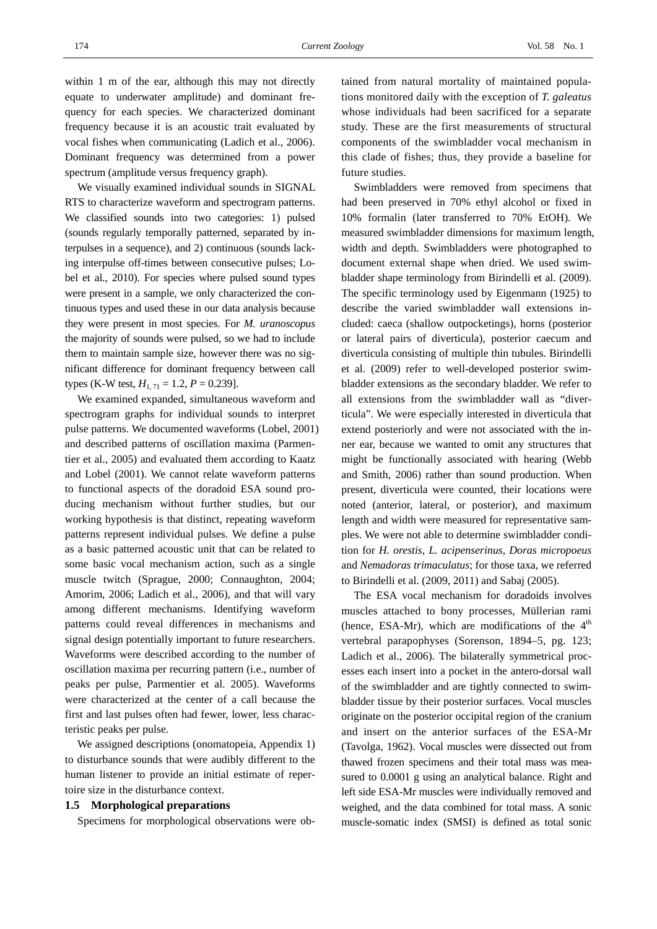within 1 m of the ear, although this may not directly equate to underwater amplitude) and dominant frequency for each species. We characterized dominant frequency because it is an acoustic trait evaluated by vocal fishes when communicating (Ladich et al., 2006). Dominant frequency was determined from a power spectrum (amplitude versus frequency graph).

We visually examined individual sounds in SIGNAL RTS to characterize waveform and spectrogram patterns. We classified sounds into two categories: 1) pulsed (sounds regularly temporally patterned, separated by interpulses in a sequence), and 2) continuous (sounds lacking interpulse off-times between consecutive pulses; Lobel et al., 2010). For species where pulsed sound types were present in a sample, we only characterized the continuous types and used these in our data analysis because they were present in most species. For *M. uranoscopus* the majority of sounds were pulsed, so we had to include them to maintain sample size, however there was no significant difference for dominant frequency between call types (K-W test,  $H_{1, 71} = 1.2, P = 0.239$ ].

We examined expanded, simultaneous waveform and spectrogram graphs for individual sounds to interpret pulse patterns. We documented waveforms (Lobel, 2001) and described patterns of oscillation maxima (Parmentier et al., 2005) and evaluated them according to Kaatz and Lobel (2001). We cannot relate waveform patterns to functional aspects of the doradoid ESA sound producing mechanism without further studies, but our working hypothesis is that distinct, repeating waveform patterns represent individual pulses. We define a pulse as a basic patterned acoustic unit that can be related to some basic vocal mechanism action, such as a single muscle twitch (Sprague, 2000; Connaughton, 2004; Amorim, 2006; Ladich et al., 2006), and that will vary among different mechanisms. Identifying waveform patterns could reveal differences in mechanisms and signal design potentially important to future researchers. Waveforms were described according to the number of oscillation maxima per recurring pattern (i.e., number of peaks per pulse, Parmentier et al. 2005). Waveforms were characterized at the center of a call because the first and last pulses often had fewer, lower, less characteristic peaks per pulse.

We assigned descriptions (onomatopeia, Appendix 1) to disturbance sounds that were audibly different to the human listener to provide an initial estimate of repertoire size in the disturbance context.

#### **1.5 Morphological preparations**

Specimens for morphological observations were ob-

tained from natural mortality of maintained populations monitored daily with the exception of *T. galeatus* whose individuals had been sacrificed for a separate study. These are the first measurements of structural components of the swimbladder vocal mechanism in this clade of fishes; thus, they provide a baseline for future studies.

Swimbladders were removed from specimens that had been preserved in 70% ethyl alcohol or fixed in 10% formalin (later transferred to 70% EtOH). We measured swimbladder dimensions for maximum length, width and depth. Swimbladders were photographed to document external shape when dried. We used swimbladder shape terminology from Birindelli et al. (2009). The specific terminology used by Eigenmann (1925) to describe the varied swimbladder wall extensions included: caeca (shallow outpocketings), horns (posterior or lateral pairs of diverticula), posterior caecum and diverticula consisting of multiple thin tubules. Birindelli et al. (2009) refer to well-developed posterior swimbladder extensions as the secondary bladder. We refer to all extensions from the swimbladder wall as "diverticula". We were especially interested in diverticula that extend posteriorly and were not associated with the inner ear, because we wanted to omit any structures that might be functionally associated with hearing (Webb and Smith, 2006) rather than sound production. When present, diverticula were counted, their locations were noted (anterior, lateral, or posterior), and maximum length and width were measured for representative samples. We were not able to determine swimbladder condition for *H. orestis*, *L. acipenserinus*, *Doras micropoeus* and *Nemadoras trimaculatus*; for those taxa, we referred to Birindelli et al. (2009, 2011) and Sabaj (2005).

The ESA vocal mechanism for doradoids involves muscles attached to bony processes, Müllerian rami (hence, ESA-Mr), which are modifications of the  $4<sup>th</sup>$ vertebral parapophyses (Sorenson, 1894–5, pg. 123; Ladich et al., 2006). The bilaterally symmetrical processes each insert into a pocket in the antero-dorsal wall of the swimbladder and are tightly connected to swimbladder tissue by their posterior surfaces. Vocal muscles originate on the posterior occipital region of the cranium and insert on the anterior surfaces of the ESA-Mr (Tavolga, 1962). Vocal muscles were dissected out from thawed frozen specimens and their total mass was measured to 0.0001 g using an analytical balance. Right and left side ESA-Mr muscles were individually removed and weighed, and the data combined for total mass. A sonic muscle-somatic index (SMSI) is defined as total sonic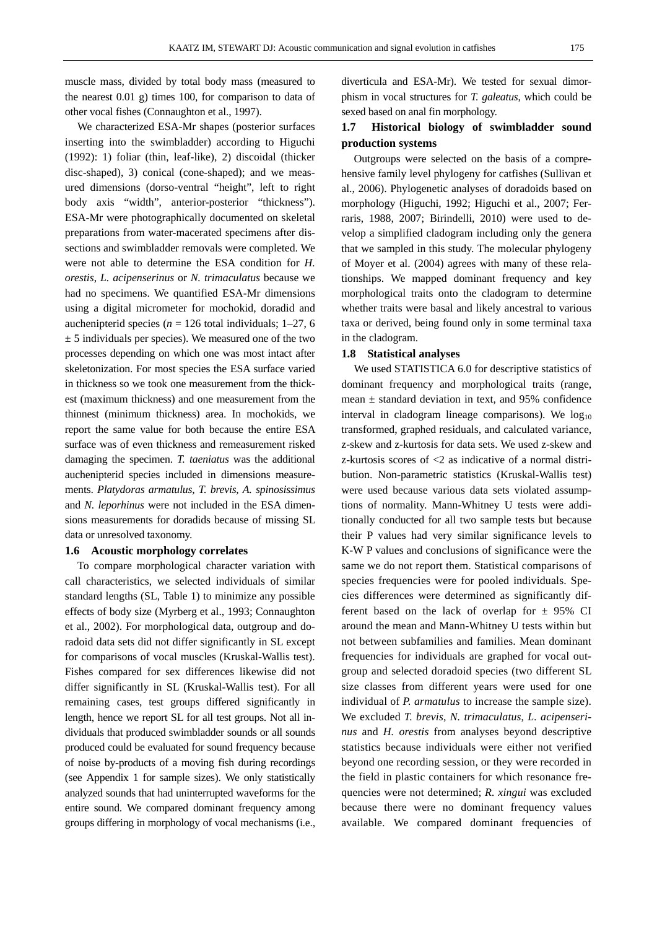muscle mass, divided by total body mass (measured to the nearest 0.01 g) times 100, for comparison to data of other vocal fishes (Connaughton et al., 1997).

We characterized ESA-Mr shapes (posterior surfaces inserting into the swimbladder) according to Higuchi (1992): 1) foliar (thin, leaf-like), 2) discoidal (thicker disc-shaped), 3) conical (cone-shaped); and we measured dimensions (dorso-ventral "height", left to right body axis "width", anterior-posterior "thickness"). ESA-Mr were photographically documented on skeletal preparations from water-macerated specimens after dissections and swimbladder removals were completed. We were not able to determine the ESA condition for *H. orestis*, *L. acipenserinus* or *N. trimaculatus* because we had no specimens. We quantified ESA-Mr dimensions using a digital micrometer for mochokid, doradid and auchenipterid species ( $n = 126$  total individuals; 1–27, 6  $\pm$  5 individuals per species). We measured one of the two processes depending on which one was most intact after skeletonization. For most species the ESA surface varied in thickness so we took one measurement from the thickest (maximum thickness) and one measurement from the thinnest (minimum thickness) area. In mochokids, we report the same value for both because the entire ESA surface was of even thickness and remeasurement risked damaging the specimen. *T. taeniatus* was the additional auchenipterid species included in dimensions measurements. *Platydoras armatulus*, *T. brevis*, *A. spinosissimus* and *N. leporhinus* were not included in the ESA dimensions measurements for doradids because of missing SL data or unresolved taxonomy.

#### **1.6 Acoustic morphology correlates**

To compare morphological character variation with call characteristics, we selected individuals of similar standard lengths (SL, Table 1) to minimize any possible effects of body size (Myrberg et al., 1993; Connaughton et al., 2002). For morphological data, outgroup and doradoid data sets did not differ significantly in SL except for comparisons of vocal muscles (Kruskal-Wallis test). Fishes compared for sex differences likewise did not differ significantly in SL (Kruskal-Wallis test). For all remaining cases, test groups differed significantly in length, hence we report SL for all test groups. Not all individuals that produced swimbladder sounds or all sounds produced could be evaluated for sound frequency because of noise by-products of a moving fish during recordings (see Appendix 1 for sample sizes). We only statistically analyzed sounds that had uninterrupted waveforms for the entire sound. We compared dominant frequency among groups differing in morphology of vocal mechanisms (i.e.,

diverticula and ESA-Mr). We tested for sexual dimorphism in vocal structures for *T. galeatus*, which could be sexed based on anal fin morphology.

## **1.7 Historical biology of swimbladder sound production systems**

Outgroups were selected on the basis of a comprehensive family level phylogeny for catfishes (Sullivan et al., 2006). Phylogenetic analyses of doradoids based on morphology (Higuchi, 1992; Higuchi et al., 2007; Ferraris, 1988, 2007; Birindelli, 2010) were used to develop a simplified cladogram including only the genera that we sampled in this study. The molecular phylogeny of Moyer et al. (2004) agrees with many of these relationships. We mapped dominant frequency and key morphological traits onto the cladogram to determine whether traits were basal and likely ancestral to various taxa or derived, being found only in some terminal taxa in the cladogram.

#### **1.8 Statistical analyses**

We used STATISTICA 6.0 for descriptive statistics of dominant frequency and morphological traits (range, mean  $\pm$  standard deviation in text, and 95% confidence interval in cladogram lineage comparisons). We  $log_{10}$ transformed, graphed residuals, and calculated variance, z-skew and z-kurtosis for data sets. We used z-skew and z-kurtosis scores of <2 as indicative of a normal distribution. Non-parametric statistics (Kruskal-Wallis test) were used because various data sets violated assumptions of normality. Mann-Whitney U tests were additionally conducted for all two sample tests but because their P values had very similar significance levels to K-W P values and conclusions of significance were the same we do not report them. Statistical comparisons of species frequencies were for pooled individuals. Species differences were determined as significantly different based on the lack of overlap for  $\pm$  95% CI around the mean and Mann-Whitney U tests within but not between subfamilies and families. Mean dominant frequencies for individuals are graphed for vocal outgroup and selected doradoid species (two different SL size classes from different years were used for one individual of *P. armatulus* to increase the sample size). We excluded *T. brevis*, *N. trimaculatus*, *L. acipenserinus* and *H. orestis* from analyses beyond descriptive statistics because individuals were either not verified beyond one recording session, or they were recorded in the field in plastic containers for which resonance frequencies were not determined; *R. xingui* was excluded because there were no dominant frequency values available. We compared dominant frequencies of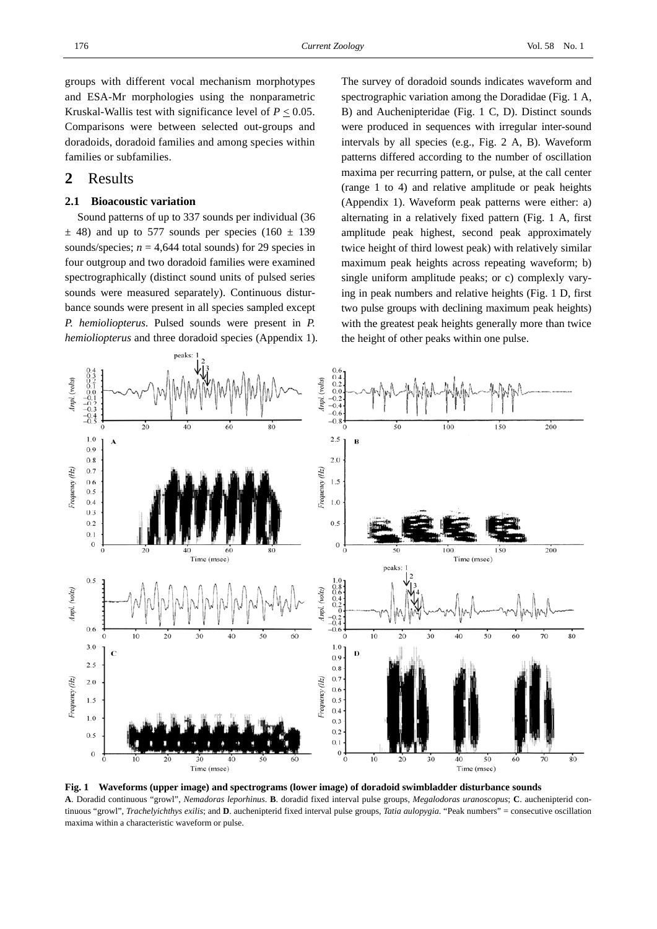groups with different vocal mechanism morphotypes and ESA-Mr morphologies using the nonparametric Kruskal-Wallis test with significance level of  $P \leq 0.05$ . Comparisons were between selected out-groups and doradoids, doradoid families and among species within families or subfamilies.

## **2** Results

## **2.1 Bioacoustic variation**

Sound patterns of up to 337 sounds per individual (36  $\pm$  48) and up to 577 sounds per species (160  $\pm$  139 sounds/species;  $n = 4,644$  total sounds) for 29 species in four outgroup and two doradoid families were examined spectrographically (distinct sound units of pulsed series sounds were measured separately). Continuous disturbance sounds were present in all species sampled except *P. hemioliopterus*. Pulsed sounds were present in *P. hemioliopterus* and three doradoid species (Appendix 1). The survey of doradoid sounds indicates waveform and spectrographic variation among the Doradidae (Fig. 1 A, B) and Auchenipteridae (Fig. 1 C, D). Distinct sounds were produced in sequences with irregular inter-sound intervals by all species (e.g., Fig. 2 A, B). Waveform patterns differed according to the number of oscillation maxima per recurring pattern, or pulse, at the call center (range 1 to 4) and relative amplitude or peak heights (Appendix 1). Waveform peak patterns were either: a) alternating in a relatively fixed pattern (Fig. 1 A, first amplitude peak highest, second peak approximately twice height of third lowest peak) with relatively similar maximum peak heights across repeating waveform; b) single uniform amplitude peaks; or c) complexly varying in peak numbers and relative heights (Fig. 1 D, first two pulse groups with declining maximum peak heights) with the greatest peak heights generally more than twice the height of other peaks within one pulse.



**Fig. 1 Waveforms (upper image) and spectrograms (lower image) of doradoid swimbladder disturbance sounds A**. Doradid continuous "growl", *Nemadoras leporhinus*. **B**. doradid fixed interval pulse groups, *Megalodoras uranoscopus*; **C**. auchenipterid continuous "growl", *Trachelyichthys exilis*; and **D**. auchenipterid fixed interval pulse groups, *Tatia aulopygia*. "Peak numbers" = consecutive oscillation maxima within a characteristic waveform or pulse.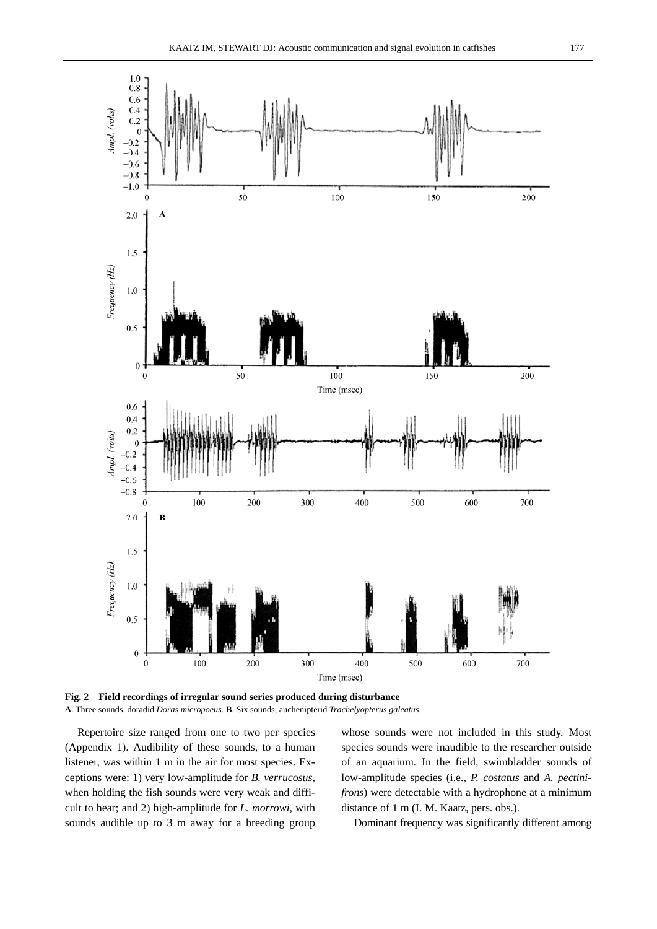

**Fig. 2 Field recordings of irregular sound series produced during disturbance A**. Three sounds, doradid *Doras micropoeus.* **B**. Six sounds, auchenipterid *Trachelyopterus galeatus*.

Repertoire size ranged from one to two per species (Appendix 1). Audibility of these sounds, to a human listener, was within 1 m in the air for most species. Exceptions were: 1) very low-amplitude for *B. verrucosus*, when holding the fish sounds were very weak and difficult to hear; and 2) high-amplitude for *L. morrowi*, with sounds audible up to 3 m away for a breeding group

whose sounds were not included in this study. Most species sounds were inaudible to the researcher outside of an aquarium. In the field, swimbladder sounds of low-amplitude species (i.e., *P. costatus* and *A. pectinifrons*) were detectable with a hydrophone at a minimum distance of 1 m (I. M. Kaatz, pers. obs.).

Dominant frequency was significantly different among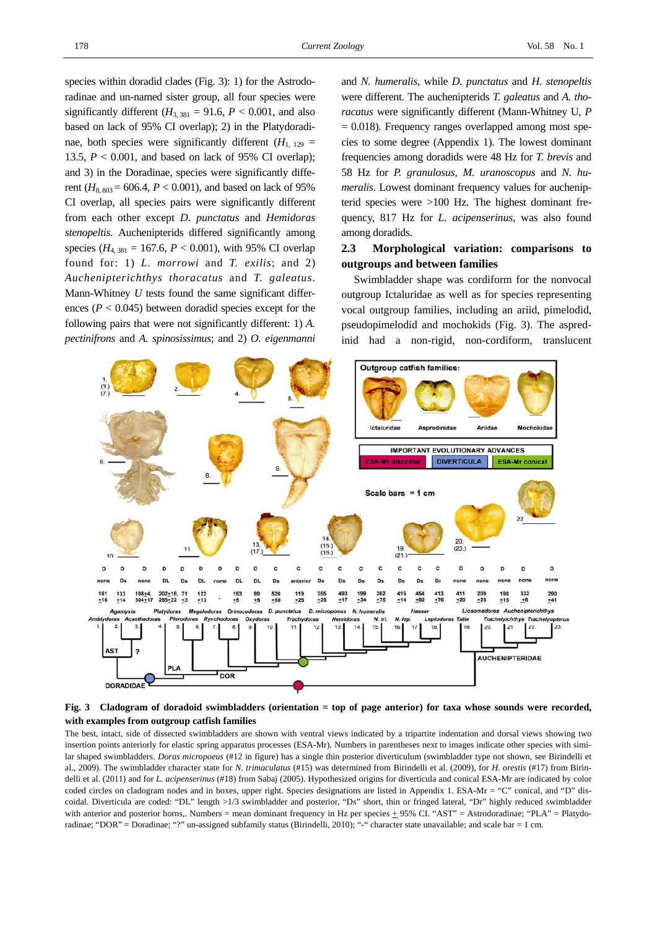species within doradid clades (Fig. 3): 1) for the Astrodoradinae and un-named sister group, all four species were significantly different  $(H_{3, 381} = 91.6, P < 0.001,$  and also based on lack of 95% CI overlap); 2) in the Platydoradinae, both species were significantly different  $(H_{1, 129} =$ 13.5,  $P < 0.001$ , and based on lack of 95% CI overlap); and 3) in the Doradinae, species were significantly different  $(H_{8,803} = 606.4, P < 0.001)$ , and based on lack of 95% CI overlap, all species pairs were significantly different from each other except *D. punctatus* and *Hemidoras stenopeltis*. Auchenipterids differed significantly among species ( $H_{4, 381} = 167.6$ ,  $P < 0.001$ ), with 95% CI overlap found for: 1) *L. morrowi* and *T. exilis*; and 2) *Auchenipterichthys thoracatus* and *T. galeatus*. Mann-Whitney *U* tests found the same significant differences  $(P < 0.045)$  between doradid species except for the following pairs that were not significantly different: 1) *A. pectinifrons* and *A. spinosissimus*; and 2) *O. eigenmanni*

and *N. humeralis*, while *D. punctatus* and *H. stenopeltis* were different. The auchenipterids *T. galeatus* and *A. thoracatus* were significantly different (Mann-Whitney U, *P*  $= 0.018$ ). Frequency ranges overlapped among most species to some degree (Appendix 1). The lowest dominant frequencies among doradids were 48 Hz for *T. brevis* and 58 Hz for *P. granulosus*, *M. uranoscopus* and *N. humeralis*. Lowest dominant frequency values for auchenipterid species were >100 Hz. The highest dominant frequency, 817 Hz for *L. acipenserinus*, was also found among doradids.

## **2.3 Morphological variation: comparisons to outgroups and between families**

Swimbladder shape was cordiform for the nonvocal outgroup Ictaluridae as well as for species representing vocal outgroup families, including an ariid, pimelodid, pseudopimelodid and mochokids (Fig. 3). The aspredinid had a non-rigid, non-cordiform, translucent



#### **Fig. 3 Cladogram of doradoid swimbladders (orientation = top of page anterior) for taxa whose sounds were recorded, with examples from outgroup catfish families**

The best, intact, side of dissected swimbladders are shown with ventral views indicated by a tripartite indentation and dorsal views showing two insertion points anteriorly for elastic spring apparatus processes (ESA-Mr). Numbers in parentheses next to images indicate other species with similar shaped swimbladders. *Doras micropoeus* (#12 in figure) has a single thin posterior diverticulum (swimbladder type not shown, see Birindelli et al., 2009). The swimbladder character state for *N. trimaculatus* (#15) was determined from Birindelli et al. (2009), for *H. orestis* (#17) from Birindelli et al. (2011) and for *L. acipenserinus* (#18) from Sabaj (2005). Hypothesized origins for diverticula and conical ESA-Mr are indicated by color coded circles on cladogram nodes and in boxes, upper right. Species designations are listed in Appendix 1. ESA-Mr = "C" conical, and "D" discoidal. Diverticula are coded: "DL" length >1/3 swimbladder and posterior, "Ds" short, thin or fringed lateral, "Dr" highly reduced swimbladder with anterior and posterior horns,. Numbers = mean dominant frequency in Hz per species  $\pm$  95% CI. "AST" = Astrodoradinae; "PLA" = Platydoradinae; "DOR" = Doradinae; "?" un-assigned subfamily status (Birindelli, 2010); "-" character state unavailable; and scale bar = 1 cm.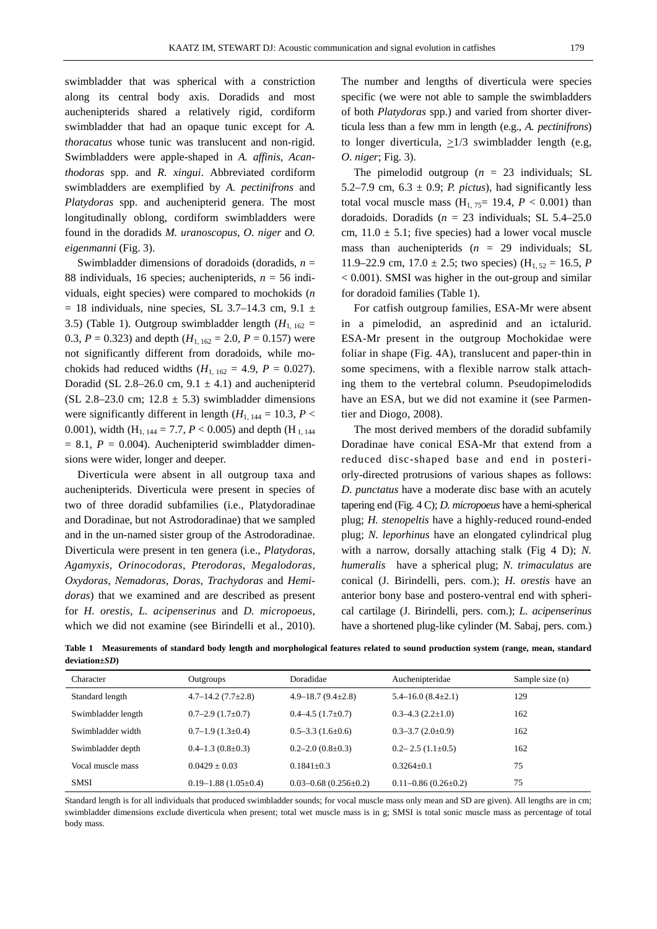swimbladder that was spherical with a constriction along its central body axis. Doradids and most auchenipterids shared a relatively rigid, cordiform swimbladder that had an opaque tunic except for *A. thoracatus* whose tunic was translucent and non-rigid. Swimbladders were apple-shaped in *A. affinis*, *Acanthodoras* spp. and *R. xingui*. Abbreviated cordiform swimbladders are exemplified by *A. pectinifrons* and *Platydoras* spp. and auchenipterid genera. The most longitudinally oblong, cordiform swimbladders were found in the doradids *M. uranoscopus*, *O. niger* and *O. eigenmanni* (Fig. 3).

Swimbladder dimensions of doradoids (doradids,  $n =$ 88 individuals, 16 species; auchenipterids, *n* = 56 individuals, eight species) were compared to mochokids (*n*  $= 18$  individuals, nine species, SL 3.7–14.3 cm, 9.1  $\pm$ 3.5) (Table 1). Outgroup swimbladder length  $(H<sub>1, 162</sub>)$ 0.3,  $P = 0.323$ ) and depth  $(H_{1, 162} = 2.0, P = 0.157)$  were not significantly different from doradoids, while mochokids had reduced widths  $(H_{1, 162} = 4.9, P = 0.027)$ . Doradid (SL 2.8–26.0 cm,  $9.1 \pm 4.1$ ) and auchenipterid (SL 2.8–23.0 cm;  $12.8 \pm 5.3$ ) swimbladder dimensions were significantly different in length  $(H_{1, 144} = 10.3, P <$ 0.001), width (H<sub>1, 144</sub> = 7.7,  $P < 0.005$ ) and depth (H<sub>1, 144</sub>  $= 8.1, P = 0.004$ . Auchenipterid swimbladder dimensions were wider, longer and deeper.

Diverticula were absent in all outgroup taxa and auchenipterids. Diverticula were present in species of two of three doradid subfamilies (i.e., Platydoradinae and Doradinae, but not Astrodoradinae) that we sampled and in the un-named sister group of the Astrodoradinae. Diverticula were present in ten genera (i.e., *Platydoras*, *Agamyxis*, *Orinocodoras*, *Pterodoras*, *Megalodoras*, *Oxydoras*, *Nemadoras*, *Doras, Trachydoras* and *Hemidoras*) that we examined and are described as present for *H. orestis*, *L. acipenserinus* and *D. micropoeus*, which we did not examine (see Birindelli et al., 2010).

The number and lengths of diverticula were species specific (we were not able to sample the swimbladders of both *Platydoras* spp.) and varied from shorter diverticula less than a few mm in length (e.g., *A. pectinifrons*) to longer diverticula, >1/3 swimbladder length (e.g, *O. niger*; Fig. 3).

The pimelodid outgroup ( $n = 23$  individuals; SL 5.2–7.9 cm,  $6.3 \pm 0.9$ ; *P. pictus*), had significantly less total vocal muscle mass  $(H<sub>1, 75</sub>= 19.4, P < 0.001)$  than doradoids. Doradids ( $n = 23$  individuals; SL 5.4–25.0) cm,  $11.0 \pm 5.1$ ; five species) had a lower vocal muscle mass than auchenipterids  $(n = 29)$  individuals; SL 11.9–22.9 cm,  $17.0 \pm 2.5$ ; two species) (H<sub>1,52</sub> = 16.5, *P* < 0.001). SMSI was higher in the out-group and similar for doradoid families (Table 1).

For catfish outgroup families, ESA-Mr were absent in a pimelodid, an aspredinid and an ictalurid. ESA-Mr present in the outgroup Mochokidae were foliar in shape (Fig. 4A), translucent and paper-thin in some specimens, with a flexible narrow stalk attaching them to the vertebral column. Pseudopimelodids have an ESA, but we did not examine it (see Parmentier and Diogo, 2008).

The most derived members of the doradid subfamily Doradinae have conical ESA-Mr that extend from a reduced disc-shaped base and end in posteriorly-directed protrusions of various shapes as follows: *D. punctatus* have a moderate disc base with an acutely tapering end (Fig. 4 C); *D. micropoeus* have a hemi-spherical plug; *H. stenopeltis* have a highly-reduced round-ended plug; *N. leporhinus* have an elongated cylindrical plug with a narrow, dorsally attaching stalk (Fig 4 D); *N. humeralis* have a spherical plug; *N. trimaculatus* are conical (J. Birindelli, pers. com.); *H. orestis* have an anterior bony base and postero-ventral end with spherical cartilage (J. Birindelli, pers. com.); *L. acipenserinus* have a shortened plug-like cylinder (M. Sabaj, pers. com.)

**Table 1 Measurements of standard body length and morphological features related to sound production system (range, mean, standard deviation±***SD***)** 

| Character          | Outgroups                      | Doradidae                       | Auchenipteridae                | Sample size (n) |
|--------------------|--------------------------------|---------------------------------|--------------------------------|-----------------|
| Standard length    | $4.7 - 14.2(7.7 \pm 2.8)$      | $4.9 - 18.7(9.4 \pm 2.8)$       | $5.4 - 16.0$ $(8.4 \pm 2.1)$   | 129             |
| Swimbladder length | $0.7-2.9(1.7\pm0.7)$           | $0.4 - 4.5(1.7 \pm 0.7)$        | $0.3 - 4.3$ $(2.2 \pm 1.0)$    | 162             |
| Swimbladder width  | $0.7-1.9(1.3\pm0.4)$           | $0.5 - 3.3(1.6 \pm 0.6)$        | $0.3 - 3.7(2.0 \pm 0.9)$       | 162             |
| Swimbladder depth  | $0.4-1.3(0.8\pm0.3)$           | $0.2 - 2.0$ $(0.8 \pm 0.3)$     | $0.2 - 2.5$ $(1.1 \pm 0.5)$    | 162             |
| Vocal muscle mass  | $0.0429 \pm 0.03$              | $0.1841 \pm 0.3$                | $0.3264+0.1$                   | 75              |
| <b>SMSI</b>        | $0.19 - 1.88$ (1.05 $\pm$ 0.4) | $0.03 - 0.68$ $(0.256 \pm 0.2)$ | $0.11 - 0.86$ (0.26 $\pm$ 0.2) | 75              |

Standard length is for all individuals that produced swimbladder sounds; for vocal muscle mass only mean and SD are given). All lengths are in cm; swimbladder dimensions exclude diverticula when present; total wet muscle mass is in g; SMSI is total sonic muscle mass as percentage of total body mass.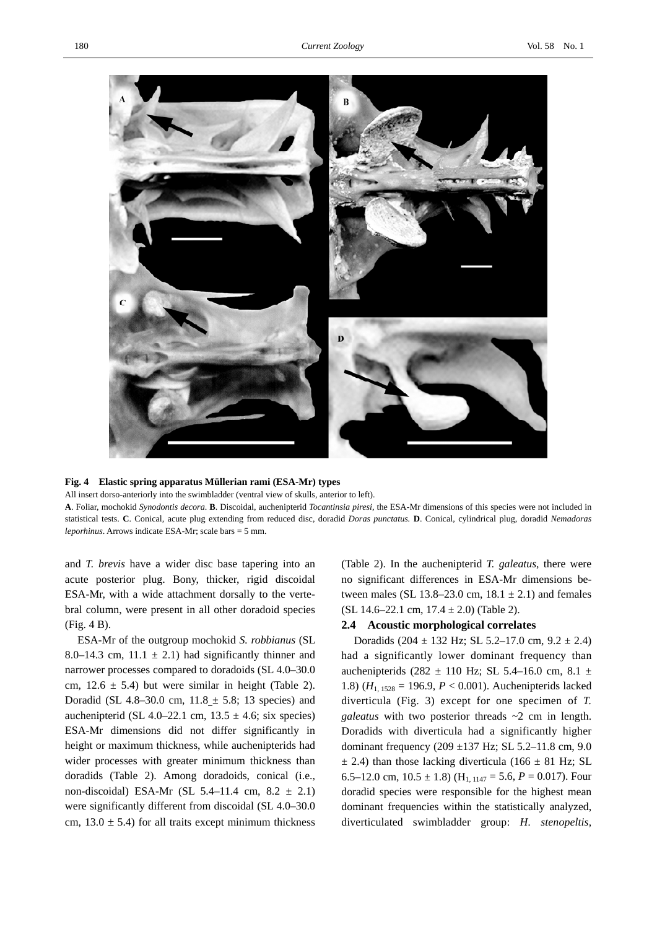

#### **Fig. 4 Elastic spring apparatus Müllerian rami (ESA-Mr) types**

All insert dorso-anteriorly into the swimbladder (ventral view of skulls, anterior to left).

**A**. Foliar, mochokid *Synodontis decora*. **B**. Discoidal, auchenipterid *Tocantinsia piresi*, the ESA-Mr dimensions of this species were not included in statistical tests. **C**. Conical, acute plug extending from reduced disc, doradid *Doras punctatus.* **D**. Conical, cylindrical plug, doradid *Nemadoras leporhinus*. Arrows indicate ESA-Mr; scale bars = 5 mm.

and *T. brevis* have a wider disc base tapering into an acute posterior plug. Bony, thicker, rigid discoidal ESA-Mr, with a wide attachment dorsally to the vertebral column, were present in all other doradoid species (Fig. 4 B).

ESA-Mr of the outgroup mochokid *S. robbianus* (SL 8.0–14.3 cm,  $11.1 \pm 2.1$ ) had significantly thinner and narrower processes compared to doradoids (SL 4.0–30.0 cm,  $12.6 \pm 5.4$ ) but were similar in height (Table 2). Doradid (SL 4.8–30.0 cm,  $11.8 \pm 5.8$ ; 13 species) and auchenipterid (SL 4.0–22.1 cm,  $13.5 \pm 4.6$ ; six species) ESA-Mr dimensions did not differ significantly in height or maximum thickness, while auchenipterids had wider processes with greater minimum thickness than doradids (Table 2). Among doradoids, conical (i.e., non-discoidal) ESA-Mr (SL 5.4–11.4 cm,  $8.2 \pm 2.1$ ) were significantly different from discoidal (SL 4.0–30.0 cm,  $13.0 \pm 5.4$ ) for all traits except minimum thickness

(Table 2). In the auchenipterid *T. galeatus*, there were no significant differences in ESA-Mr dimensions between males (SL 13.8–23.0 cm,  $18.1 \pm 2.1$ ) and females (SL 14.6–22.1 cm,  $17.4 \pm 2.0$ ) (Table 2).

#### **2.4 Acoustic morphological correlates**

Doradids  $(204 \pm 132 \text{ Hz}; \text{SL } 5.2{\text -}17.0 \text{ cm}, 9.2 \pm 2.4)$ had a significantly lower dominant frequency than auchenipterids (282  $\pm$  110 Hz; SL 5.4–16.0 cm, 8.1  $\pm$ 1.8) (*H*1, 1528 = 196.9, *P* < 0.001). Auchenipterids lacked diverticula (Fig. 3) except for one specimen of *T. galeatus* with two posterior threads ~2 cm in length. Doradids with diverticula had a significantly higher dominant frequency (209 ±137 Hz; SL 5.2–11.8 cm, 9.0  $\pm$  2.4) than those lacking diverticula (166  $\pm$  81 Hz; SL 6.5–12.0 cm,  $10.5 \pm 1.8$ ) (H<sub>1, 1147</sub> = 5.6, *P* = 0.017). Four doradid species were responsible for the highest mean dominant frequencies within the statistically analyzed, diverticulated swimbladder group: *H. stenopeltis*,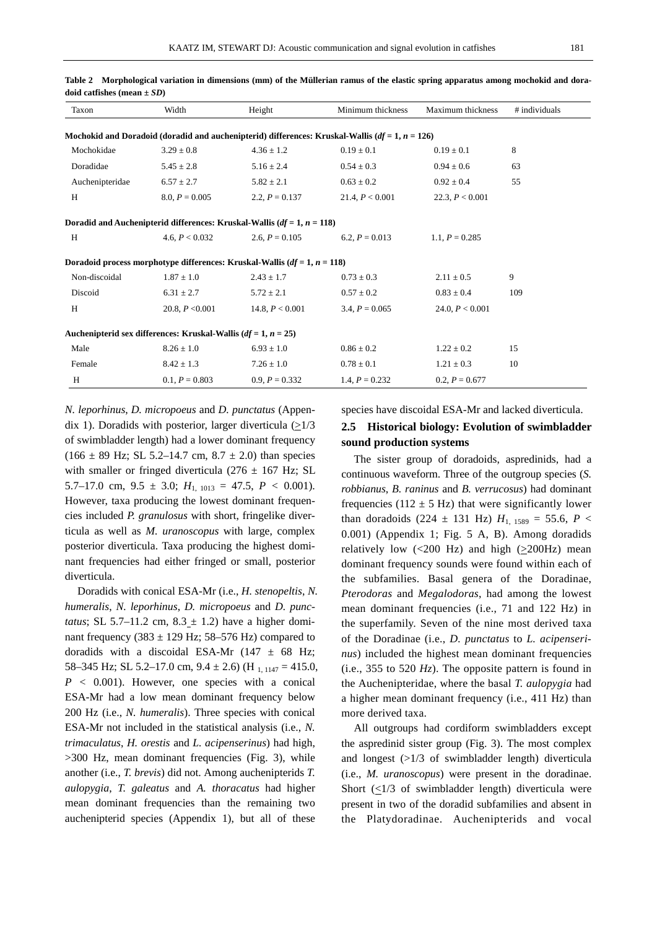| Taxon                                                                                               | Width             | Height            | Minimum thickness | Maximum thickness | # individuals |  |  |  |  |  |
|-----------------------------------------------------------------------------------------------------|-------------------|-------------------|-------------------|-------------------|---------------|--|--|--|--|--|
|                                                                                                     |                   |                   |                   |                   |               |  |  |  |  |  |
| Mochokid and Doradoid (doradid and auchenipterid) differences: Kruskal-Wallis ( $df = 1, n = 126$ ) |                   |                   |                   |                   |               |  |  |  |  |  |
| Mochokidae                                                                                          | $3.29 \pm 0.8$    | $4.36 \pm 1.2$    | $0.19 \pm 0.1$    | $0.19 \pm 0.1$    | 8             |  |  |  |  |  |
| Doradidae                                                                                           | $5.45 \pm 2.8$    | $5.16 \pm 2.4$    | $0.54 \pm 0.3$    | $0.94 \pm 0.6$    | 63            |  |  |  |  |  |
| Auchenipteridae                                                                                     | $6.57 \pm 2.7$    | $5.82 \pm 2.1$    | $0.63 \pm 0.2$    | $0.92 \pm 0.4$    | 55            |  |  |  |  |  |
| H                                                                                                   | $8.0, P = 0.005$  | 2.2, $P = 0.137$  | 21.4, $P < 0.001$ | 22.3, $P < 0.001$ |               |  |  |  |  |  |
| Doradid and Auchenipterid differences: Kruskal-Wallis ( $df = 1$ , $n = 118$ )                      |                   |                   |                   |                   |               |  |  |  |  |  |
| H                                                                                                   | 4.6. $P < 0.032$  | 2.6, $P = 0.105$  | 6.2, $P = 0.013$  | 1.1, $P = 0.285$  |               |  |  |  |  |  |
| Doradoid process morphotype differences: Kruskal-Wallis ( $df = 1$ , $n = 118$ )                    |                   |                   |                   |                   |               |  |  |  |  |  |
| Non-discoidal                                                                                       | $1.87 \pm 1.0$    | $2.43 \pm 1.7$    | $0.73 \pm 0.3$    | $2.11 \pm 0.5$    | 9             |  |  |  |  |  |
| Discoid                                                                                             | $6.31 \pm 2.7$    | $5.72 \pm 2.1$    | $0.57 \pm 0.2$    | $0.83 \pm 0.4$    | 109           |  |  |  |  |  |
| H                                                                                                   | 20.8, $P < 0.001$ | 14.8, $P < 0.001$ | 3.4, $P = 0.065$  | 24.0, $P < 0.001$ |               |  |  |  |  |  |
| Auchenipterid sex differences: Kruskal-Wallis $(df = 1, n = 25)$                                    |                   |                   |                   |                   |               |  |  |  |  |  |
| Male                                                                                                | $8.26 \pm 1.0$    | $6.93 \pm 1.0$    | $0.86 \pm 0.2$    | $1.22 \pm 0.2$    | 15            |  |  |  |  |  |
| Female                                                                                              | $8.42 \pm 1.3$    | $7.26 \pm 1.0$    | $0.78 \pm 0.1$    | $1.21 \pm 0.3$    | 10            |  |  |  |  |  |
| H                                                                                                   | $0.1, P = 0.803$  | $0.9, P = 0.332$  | 1.4, $P = 0.232$  | $0.2, P = 0.677$  |               |  |  |  |  |  |

**Table 2 Morphological variation in dimensions (mm) of the Müllerian ramus of the elastic spring apparatus among mochokid and doradoid catfishes (mean ±** *SD***)** 

*N. leporhinus*, *D. micropoeus* and *D. punctatus* (Appendix 1). Doradids with posterior, larger diverticula  $(21/3)$ of swimbladder length) had a lower dominant frequency  $(166 \pm 89 \text{ Hz}; \text{SL } 5.2{\text{--}}14.7 \text{ cm}, 8.7{\text{++}}2.0) \text{ than species}$ with smaller or fringed diverticula ( $276 \pm 167$  Hz; SL 5.7–17.0 cm,  $9.5 \pm 3.0$ ;  $H_{1,1013} = 47.5$ ,  $P < 0.001$ ). However, taxa producing the lowest dominant frequencies included *P. granulosus* with short, fringelike diverticula as well as *M. uranoscopus* with large, complex posterior diverticula. Taxa producing the highest dominant frequencies had either fringed or small, posterior diverticula.

Doradids with conical ESA-Mr (i.e., *H. stenopeltis*, *N. humeralis*, *N. leporhinus*, *D. micropoeus* and *D. punctatus*; SL 5.7–11.2 cm,  $8.3 \pm 1.2$ ) have a higher dominant frequency (383  $\pm$  129 Hz; 58–576 Hz) compared to doradids with a discoidal ESA-Mr  $(147 \pm 68 \text{ Hz})$ ; 58–345 Hz; SL 5.2–17.0 cm,  $9.4 \pm 2.6$ ) (H<sub>1, 1147</sub> = 415.0,  $P < 0.001$ ). However, one species with a conical ESA-Mr had a low mean dominant frequency below 200 Hz (i.e., *N. humeralis*). Three species with conical ESA-Mr not included in the statistical analysis (i.e., *N. trimaculatus*, *H. orestis* and *L. acipenserinus*) had high, >300 Hz, mean dominant frequencies (Fig. 3), while another (i.e., *T. brevis*) did not. Among auchenipterids *T. aulopygia*, *T. galeatus* and *A. thoracatus* had higher mean dominant frequencies than the remaining two auchenipterid species (Appendix 1), but all of these

species have discoidal ESA-Mr and lacked diverticula.

## **2.5 Historical biology: Evolution of swimbladder sound production systems**

The sister group of doradoids, aspredinids, had a continuous waveform. Three of the outgroup species (*S. robbianus*, *B. raninus* and *B. verrucosus*) had dominant frequencies (112  $\pm$  5 Hz) that were significantly lower than doradoids (224  $\pm$  131 Hz)  $H_{1, 1589} = 55.6$ ,  $P \le$ 0.001) (Appendix 1; Fig. 5 A, B). Among doradids relatively low (<200 Hz) and high ( $\geq$ 200Hz) mean dominant frequency sounds were found within each of the subfamilies. Basal genera of the Doradinae, *Pterodoras* and *Megalodoras*, had among the lowest mean dominant frequencies (i.e., 71 and 122 Hz) in the superfamily. Seven of the nine most derived taxa of the Doradinae (i.e., *D. punctatus* to *L. acipenserinus*) included the highest mean dominant frequencies (i.e., 355 to 520 *Hz*). The opposite pattern is found in the Auchenipteridae, where the basal *T. aulopygia* had a higher mean dominant frequency (i.e., 411 Hz) than more derived taxa.

All outgroups had cordiform swimbladders except the aspredinid sister group (Fig. 3). The most complex and longest (>1/3 of swimbladder length) diverticula (i.e., *M. uranoscopus*) were present in the doradinae. Short  $\left(\frac{1}{3} \text{ of}}\right)$  swimbladder length) diverticula were present in two of the doradid subfamilies and absent in the Platydoradinae. Auchenipterids and vocal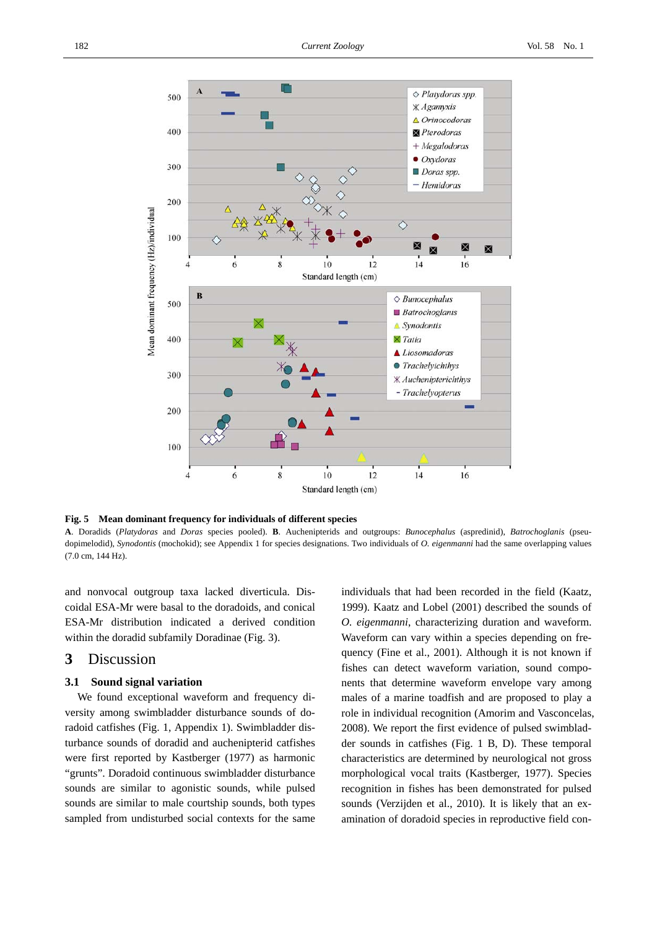

**Fig. 5 Mean dominant frequency for individuals of different species** 

**A**. Doradids (*Platydoras* and *Doras* species pooled). **B**. Auchenipterids and outgroups: *Bunocephalus* (aspredinid), *Batrochoglanis* (pseudopimelodid), *Synodontis* (mochokid); see Appendix 1 for species designations. Two individuals of *O. eigenmanni* had the same overlapping values (7.0 cm, 144 Hz).

and nonvocal outgroup taxa lacked diverticula. Discoidal ESA-Mr were basal to the doradoids, and conical ESA-Mr distribution indicated a derived condition within the doradid subfamily Doradinae (Fig. 3).

## **3** Discussion

### **3.1 Sound signal variation**

We found exceptional waveform and frequency diversity among swimbladder disturbance sounds of doradoid catfishes (Fig. 1, Appendix 1). Swimbladder disturbance sounds of doradid and auchenipterid catfishes were first reported by Kastberger (1977) as harmonic "grunts". Doradoid continuous swimbladder disturbance sounds are similar to agonistic sounds, while pulsed sounds are similar to male courtship sounds, both types sampled from undisturbed social contexts for the same individuals that had been recorded in the field (Kaatz, 1999). Kaatz and Lobel (2001) described the sounds of *O. eigenmanni*, characterizing duration and waveform. Waveform can vary within a species depending on frequency (Fine et al., 2001). Although it is not known if fishes can detect waveform variation, sound components that determine waveform envelope vary among males of a marine toadfish and are proposed to play a role in individual recognition (Amorim and Vasconcelas, 2008). We report the first evidence of pulsed swimbladder sounds in catfishes (Fig. 1 B, D). These temporal characteristics are determined by neurological not gross morphological vocal traits (Kastberger, 1977). Species recognition in fishes has been demonstrated for pulsed sounds (Verzijden et al., 2010). It is likely that an examination of doradoid species in reproductive field con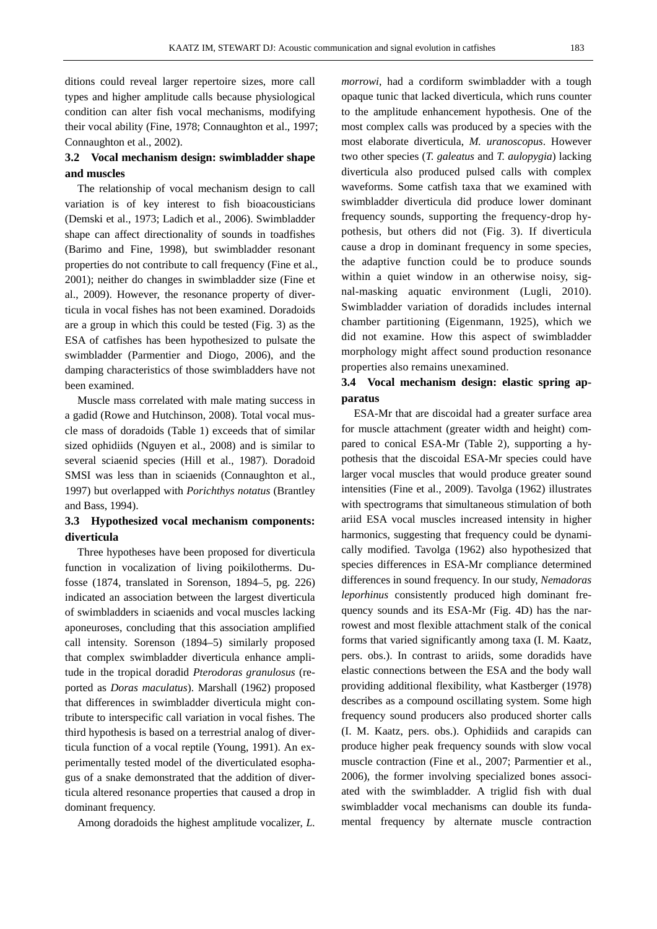ditions could reveal larger repertoire sizes, more call types and higher amplitude calls because physiological condition can alter fish vocal mechanisms, modifying their vocal ability (Fine, 1978; Connaughton et al., 1997; Connaughton et al., 2002).

## **3.2 Vocal mechanism design: swimbladder shape and muscles**

The relationship of vocal mechanism design to call variation is of key interest to fish bioacousticians (Demski et al., 1973; Ladich et al., 2006). Swimbladder shape can affect directionality of sounds in toadfishes (Barimo and Fine, 1998), but swimbladder resonant properties do not contribute to call frequency (Fine et al., 2001); neither do changes in swimbladder size (Fine et al., 2009). However, the resonance property of diverticula in vocal fishes has not been examined. Doradoids are a group in which this could be tested (Fig. 3) as the ESA of catfishes has been hypothesized to pulsate the swimbladder (Parmentier and Diogo, 2006), and the damping characteristics of those swimbladders have not been examined.

Muscle mass correlated with male mating success in a gadid (Rowe and Hutchinson, 2008). Total vocal muscle mass of doradoids (Table 1) exceeds that of similar sized ophidiids (Nguyen et al., 2008) and is similar to several sciaenid species (Hill et al., 1987). Doradoid SMSI was less than in sciaenids (Connaughton et al., 1997) but overlapped with *Porichthys notatus* (Brantley and Bass, 1994).

## **3.3 Hypothesized vocal mechanism components: diverticula**

Three hypotheses have been proposed for diverticula function in vocalization of living poikilotherms. Dufosse (1874, translated in Sorenson, 1894–5, pg. 226) indicated an association between the largest diverticula of swimbladders in sciaenids and vocal muscles lacking aponeuroses, concluding that this association amplified call intensity. Sorenson (1894–5) similarly proposed that complex swimbladder diverticula enhance amplitude in the tropical doradid *Pterodoras granulosus* (reported as *Doras maculatus*). Marshall (1962) proposed that differences in swimbladder diverticula might contribute to interspecific call variation in vocal fishes. The third hypothesis is based on a terrestrial analog of diverticula function of a vocal reptile (Young, 1991). An experimentally tested model of the diverticulated esophagus of a snake demonstrated that the addition of diverticula altered resonance properties that caused a drop in dominant frequency.

Among doradoids the highest amplitude vocalizer, *L.* 

*morrowi*, had a cordiform swimbladder with a tough opaque tunic that lacked diverticula, which runs counter to the amplitude enhancement hypothesis. One of the most complex calls was produced by a species with the most elaborate diverticula, *M. uranoscopus*. However two other species (*T. galeatus* and *T. aulopygia*) lacking diverticula also produced pulsed calls with complex waveforms. Some catfish taxa that we examined with swimbladder diverticula did produce lower dominant frequency sounds, supporting the frequency-drop hypothesis, but others did not (Fig. 3). If diverticula cause a drop in dominant frequency in some species, the adaptive function could be to produce sounds within a quiet window in an otherwise noisy, signal-masking aquatic environment (Lugli, 2010). Swimbladder variation of doradids includes internal chamber partitioning (Eigenmann, 1925), which we did not examine. How this aspect of swimbladder morphology might affect sound production resonance properties also remains unexamined.

## **3.4 Vocal mechanism design: elastic spring apparatus**

ESA-Mr that are discoidal had a greater surface area for muscle attachment (greater width and height) compared to conical ESA-Mr (Table 2), supporting a hypothesis that the discoidal ESA-Mr species could have larger vocal muscles that would produce greater sound intensities (Fine et al., 2009). Tavolga (1962) illustrates with spectrograms that simultaneous stimulation of both ariid ESA vocal muscles increased intensity in higher harmonics, suggesting that frequency could be dynamically modified. Tavolga (1962) also hypothesized that species differences in ESA-Mr compliance determined differences in sound frequency. In our study, *Nemadoras leporhinus* consistently produced high dominant frequency sounds and its ESA-Mr (Fig. 4D) has the narrowest and most flexible attachment stalk of the conical forms that varied significantly among taxa (I. M. Kaatz, pers. obs.). In contrast to ariids, some doradids have elastic connections between the ESA and the body wall providing additional flexibility, what Kastberger (1978) describes as a compound oscillating system. Some high frequency sound producers also produced shorter calls (I. M. Kaatz, pers. obs.). Ophidiids and carapids can produce higher peak frequency sounds with slow vocal muscle contraction (Fine et al., 2007; Parmentier et al., 2006), the former involving specialized bones associated with the swimbladder. A triglid fish with dual swimbladder vocal mechanisms can double its fundamental frequency by alternate muscle contraction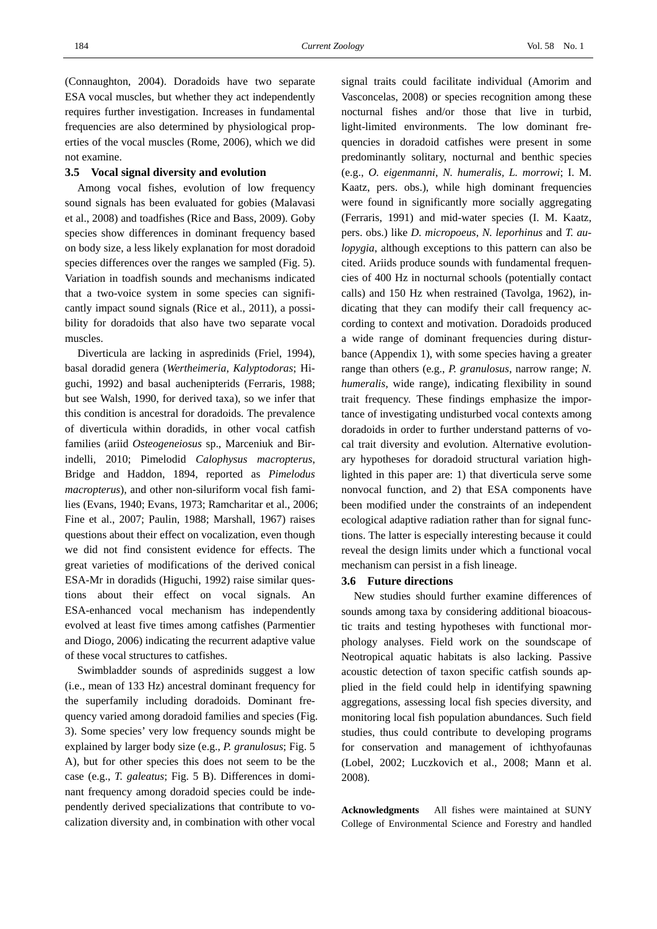(Connaughton, 2004). Doradoids have two separate ESA vocal muscles, but whether they act independently requires further investigation. Increases in fundamental frequencies are also determined by physiological properties of the vocal muscles (Rome, 2006), which we did not examine.

#### **3.5 Vocal signal diversity and evolution**

Among vocal fishes, evolution of low frequency sound signals has been evaluated for gobies (Malavasi et al., 2008) and toadfishes (Rice and Bass, 2009). Goby species show differences in dominant frequency based on body size, a less likely explanation for most doradoid species differences over the ranges we sampled (Fig. 5). Variation in toadfish sounds and mechanisms indicated that a two-voice system in some species can significantly impact sound signals (Rice et al., 2011), a possibility for doradoids that also have two separate vocal muscles.

Diverticula are lacking in aspredinids (Friel, 1994), basal doradid genera (*Wertheimeria*, *Kalyptodoras*; Higuchi, 1992) and basal auchenipterids (Ferraris, 1988; but see Walsh, 1990, for derived taxa), so we infer that this condition is ancestral for doradoids. The prevalence of diverticula within doradids, in other vocal catfish families (ariid *Osteogeneiosus* sp., Marceniuk and Birindelli, 2010; Pimelodid *Calophysus macropterus*, Bridge and Haddon, 1894, reported as *Pimelodus macropterus*), and other non-siluriform vocal fish families (Evans, 1940; Evans, 1973; Ramcharitar et al., 2006; Fine et al., 2007; Paulin, 1988; Marshall, 1967) raises questions about their effect on vocalization, even though we did not find consistent evidence for effects. The great varieties of modifications of the derived conical ESA-Mr in doradids (Higuchi, 1992) raise similar questions about their effect on vocal signals. An ESA-enhanced vocal mechanism has independently evolved at least five times among catfishes (Parmentier and Diogo, 2006) indicating the recurrent adaptive value of these vocal structures to catfishes.

Swimbladder sounds of aspredinids suggest a low (i.e., mean of 133 Hz) ancestral dominant frequency for the superfamily including doradoids. Dominant frequency varied among doradoid families and species (Fig. 3). Some species' very low frequency sounds might be explained by larger body size (e.g., *P. granulosus*; Fig. 5 A), but for other species this does not seem to be the case (e.g., *T. galeatus*; Fig. 5 B). Differences in dominant frequency among doradoid species could be independently derived specializations that contribute to vocalization diversity and, in combination with other vocal

signal traits could facilitate individual (Amorim and Vasconcelas, 2008) or species recognition among these nocturnal fishes and/or those that live in turbid, light-limited environments. The low dominant frequencies in doradoid catfishes were present in some predominantly solitary, nocturnal and benthic species (e.g., *O. eigenmanni*, *N. humeralis, L. morrowi*; I. M. Kaatz, pers. obs.), while high dominant frequencies were found in significantly more socially aggregating (Ferraris, 1991) and mid-water species (I. M. Kaatz, pers. obs.) like *D. micropoeus*, *N. leporhinus* and *T. aulopygia*, although exceptions to this pattern can also be cited. Ariids produce sounds with fundamental frequencies of 400 Hz in nocturnal schools (potentially contact calls) and 150 Hz when restrained (Tavolga, 1962), indicating that they can modify their call frequency according to context and motivation. Doradoids produced a wide range of dominant frequencies during disturbance (Appendix 1), with some species having a greater range than others (e.g., *P. granulosus*, narrow range; *N. humeralis*, wide range), indicating flexibility in sound trait frequency. These findings emphasize the importance of investigating undisturbed vocal contexts among doradoids in order to further understand patterns of vocal trait diversity and evolution. Alternative evolutionary hypotheses for doradoid structural variation highlighted in this paper are: 1) that diverticula serve some nonvocal function, and 2) that ESA components have been modified under the constraints of an independent ecological adaptive radiation rather than for signal functions. The latter is especially interesting because it could reveal the design limits under which a functional vocal mechanism can persist in a fish lineage.

#### **3.6 Future directions**

New studies should further examine differences of sounds among taxa by considering additional bioacoustic traits and testing hypotheses with functional morphology analyses. Field work on the soundscape of Neotropical aquatic habitats is also lacking. Passive acoustic detection of taxon specific catfish sounds applied in the field could help in identifying spawning aggregations, assessing local fish species diversity, and monitoring local fish population abundances. Such field studies, thus could contribute to developing programs for conservation and management of ichthyofaunas (Lobel, 2002; Luczkovich et al., 2008; Mann et al. 2008).

**Acknowledgments** All fishes were maintained at SUNY College of Environmental Science and Forestry and handled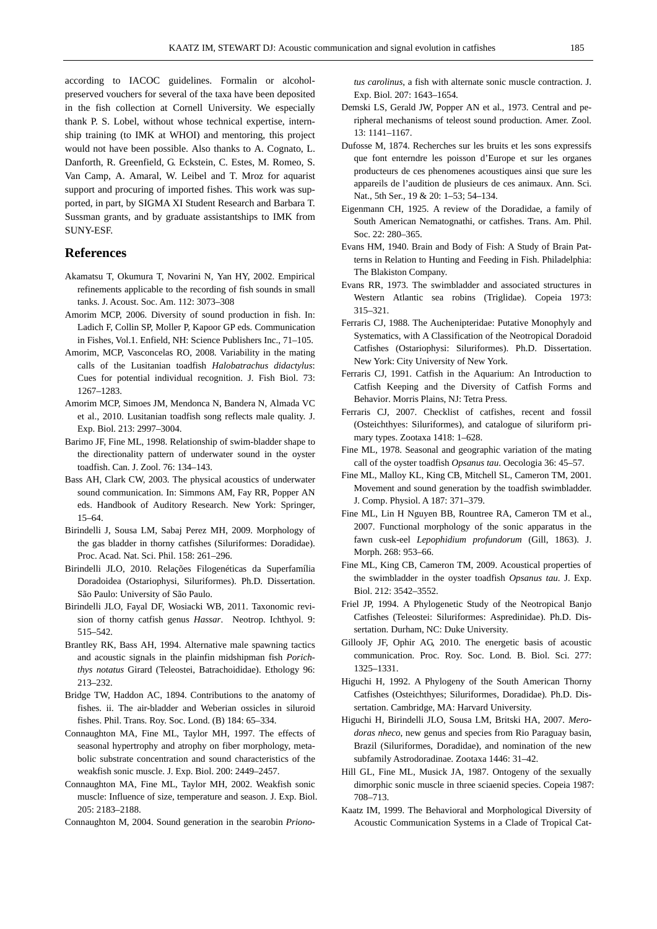according to IACOC guidelines. Formalin or alcoholpreserved vouchers for several of the taxa have been deposited in the fish collection at Cornell University. We especially thank P. S. Lobel, without whose technical expertise, internship training (to IMK at WHOI) and mentoring, this project would not have been possible. Also thanks to A. Cognato, L. Danforth, R. Greenfield, G. Eckstein, C. Estes, M. Romeo, S. Van Camp, A. Amaral, W. Leibel and T. Mroz for aquarist support and procuring of imported fishes. This work was supported, in part, by SIGMA XI Student Research and Barbara T. Sussman grants, and by graduate assistantships to IMK from SUNY-ESF.

#### **References**

- Akamatsu T, Okumura T, Novarini N, Yan HY, 2002. Empirical refinements applicable to the recording of fish sounds in small tanks. J. Acoust. Soc. Am. 112: 3073–308
- Amorim MCP, 2006. Diversity of sound production in fish. In: Ladich F, Collin SP, Moller P, Kapoor GP eds. Communication in Fishes, Vol.1. Enfield, NH: Science Publishers Inc., 71–105.
- Amorim, MCP, Vasconcelas RO, 2008. Variability in the mating calls of the Lusitanian toadfish *Halobatrachus didactylus*: Cues for potential individual recognition. J. Fish Biol. 73: 1267–1283.
- Amorim MCP, Simoes JM, Mendonca N, Bandera N, Almada VC et al., 2010. Lusitanian toadfish song reflects male quality. J. Exp. Biol. 213: 2997–3004.
- Barimo JF, Fine ML, 1998. Relationship of swim-bladder shape to the directionality pattern of underwater sound in the oyster toadfish. Can. J. Zool. 76: 134–143.
- Bass AH, Clark CW, 2003. The physical acoustics of underwater sound communication. In: Simmons AM, Fay RR, Popper AN eds. Handbook of Auditory Research. New York: Springer, 15–64.
- Birindelli J, Sousa LM, Sabaj Perez MH, 2009. Morphology of the gas bladder in thorny catfishes (Siluriformes: Doradidae). Proc. Acad. Nat. Sci. Phil. 158: 261–296.
- Birindelli JLO, 2010. Relações Filogenéticas da Superfamília Doradoidea (Ostariophysi, Siluriformes). Ph.D. Dissertation. São Paulo: University of São Paulo.
- Birindelli JLO, Fayal DF, Wosiacki WB, 2011. Taxonomic revision of thorny catfish genus *Hassar*. Neotrop. Ichthyol. 9: 515–542.
- Brantley RK, Bass AH, 1994. Alternative male spawning tactics and acoustic signals in the plainfin midshipman fish *Porichthys notatus* Girard (Teleostei, Batrachoididae). Ethology 96: 213–232.
- Bridge TW, Haddon AC, 1894. Contributions to the anatomy of fishes. ii. The air-bladder and Weberian ossicles in siluroid fishes. Phil. Trans. Roy. Soc. Lond. (B) 184: 65–334.
- Connaughton MA, Fine ML, Taylor MH, 1997. The effects of seasonal hypertrophy and atrophy on fiber morphology, metabolic substrate concentration and sound characteristics of the weakfish sonic muscle. J. Exp. Biol. 200: 2449–2457.
- Connaughton MA, Fine ML, Taylor MH, 2002. Weakfish sonic muscle: Influence of size, temperature and season. J. Exp. Biol. 205: 2183–2188.
- Connaughton M, 2004. Sound generation in the searobin *Priono-*

*tus carolinus*, a fish with alternate sonic muscle contraction. J. Exp. Biol. 207: 1643–1654.

- Demski LS, Gerald JW, Popper AN et al., 1973. Central and peripheral mechanisms of teleost sound production. Amer. Zool. 13: 1141–1167.
- Dufosse M, 1874. Recherches sur les bruits et les sons expressifs que font enterndre les poisson d'Europe et sur les organes producteurs de ces phenomenes acoustiques ainsi que sure les appareils de l'audition de plusieurs de ces animaux. Ann. Sci. Nat., 5th Ser., 19 & 20: 1–53; 54–134.
- Eigenmann CH, 1925. A review of the Doradidae, a family of South American Nematognathi, or catfishes. Trans. Am. Phil. Soc. 22: 280–365.
- Evans HM, 1940. Brain and Body of Fish: A Study of Brain Patterns in Relation to Hunting and Feeding in Fish. Philadelphia: The Blakiston Company.
- Evans RR, 1973. The swimbladder and associated structures in Western Atlantic sea robins (Triglidae). Copeia 1973: 315–321.
- Ferraris CJ, 1988. The Auchenipteridae: Putative Monophyly and Systematics, with A Classification of the Neotropical Doradoid Catfishes (Ostariophysi: Siluriformes). Ph.D. Dissertation. New York: City University of New York.
- Ferraris CJ, 1991. Catfish in the Aquarium: An Introduction to Catfish Keeping and the Diversity of Catfish Forms and Behavior. Morris Plains, NJ: Tetra Press.
- Ferraris CJ, 2007. Checklist of catfishes, recent and fossil (Osteichthyes: Siluriformes), and catalogue of siluriform primary types. Zootaxa 1418: 1–628.
- Fine ML, 1978. Seasonal and geographic variation of the mating call of the oyster toadfish *Opsanus tau*. Oecologia 36: 45–57.
- Fine ML, Malloy KL, King CB, Mitchell SL, Cameron TM, 2001. Movement and sound generation by the toadfish swimbladder. J. Comp. Physiol. A 187: 371–379.
- Fine ML, Lin H Nguyen BB, Rountree RA, Cameron TM et al., 2007. Functional morphology of the sonic apparatus in the fawn cusk-eel *Lepophidium profundorum* (Gill, 1863). J. Morph. 268: 953–66.
- Fine ML, King CB, Cameron TM, 2009. Acoustical properties of the swimbladder in the oyster toadfish *Opsanus tau*. J. Exp. Biol. 212: 3542–3552.
- Friel JP, 1994. A Phylogenetic Study of the Neotropical Banjo Catfishes (Teleostei: Siluriformes: Aspredinidae). Ph.D. Dissertation. Durham, NC: Duke University.
- Gillooly JF, Ophir AG, 2010. The energetic basis of acoustic communication. Proc. Roy. Soc. Lond. B. Biol. Sci. 277: 1325–1331.
- Higuchi H, 1992. A Phylogeny of the South American Thorny Catfishes (Osteichthyes; Siluriformes, Doradidae). Ph.D. Dissertation. Cambridge, MA: Harvard University.
- Higuchi H, Birindelli JLO, Sousa LM, Britski HA, 2007. *Merodoras nheco*, new genus and species from Rio Paraguay basin, Brazil (Siluriformes, Doradidae), and nomination of the new subfamily Astrodoradinae. Zootaxa 1446: 31–42.
- Hill GL, Fine ML, Musick JA, 1987. Ontogeny of the sexually dimorphic sonic muscle in three sciaenid species. Copeia 1987: 708–713.
- Kaatz IM, 1999. The Behavioral and Morphological Diversity of Acoustic Communication Systems in a Clade of Tropical Cat-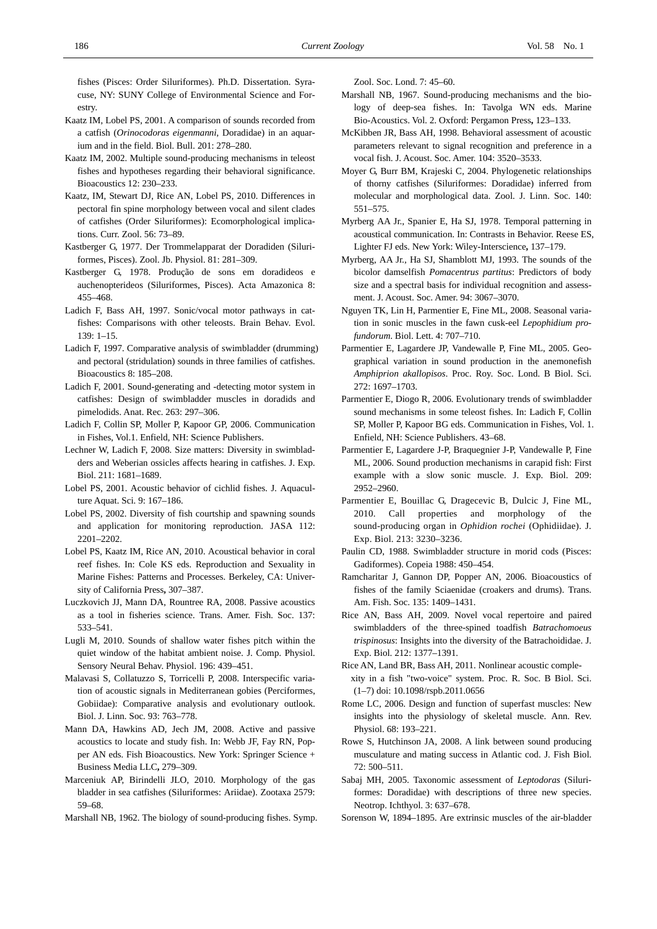fishes (Pisces: Order Siluriformes). Ph.D. Dissertation. Syracuse, NY: SUNY College of Environmental Science and Forestry.

- Kaatz IM, Lobel PS, 2001. A comparison of sounds recorded from a catfish (*Orinocodoras eigenmanni*, Doradidae) in an aquarium and in the field. Biol. Bull. 201: 278–280.
- Kaatz IM, 2002. Multiple sound-producing mechanisms in teleost fishes and hypotheses regarding their behavioral significance. Bioacoustics 12: 230–233.
- Kaatz, IM, Stewart DJ, Rice AN, Lobel PS, 2010. Differences in pectoral fin spine morphology between vocal and silent clades of catfishes (Order Siluriformes): Ecomorphological implications. Curr. Zool. 56: 73–89.
- Kastberger G, 1977. Der Trommelapparat der Doradiden (Siluriformes, Pisces). Zool. Jb. Physiol. 81: 281–309.
- Kastberger G, 1978. Produção de sons em doradideos e auchenopterideos (Siluriformes, Pisces). Acta Amazonica 8: 455–468.
- Ladich F, Bass AH, 1997. Sonic/vocal motor pathways in catfishes: Comparisons with other teleosts. Brain Behav. Evol. 139: 1–15.
- Ladich F, 1997. Comparative analysis of swimbladder (drumming) and pectoral (stridulation) sounds in three families of catfishes. Bioacoustics 8: 185–208.
- Ladich F, 2001. Sound-generating and -detecting motor system in catfishes: Design of swimbladder muscles in doradids and pimelodids. Anat. Rec. 263: 297–306.
- Ladich F, Collin SP, Moller P, Kapoor GP, 2006. Communication in Fishes, Vol.1. Enfield, NH: Science Publishers.
- Lechner W, Ladich F, 2008. Size matters: Diversity in swimbladders and Weberian ossicles affects hearing in catfishes. J. Exp. Biol. 211: 1681–1689.
- Lobel PS, 2001. Acoustic behavior of cichlid fishes. J. Aquaculture Aquat. Sci. 9: 167–186.
- Lobel PS, 2002. Diversity of fish courtship and spawning sounds and application for monitoring reproduction. JASA 112: 2201–2202.
- Lobel PS, Kaatz IM, Rice AN, 2010. Acoustical behavior in coral reef fishes. In: Cole KS eds. Reproduction and Sexuality in Marine Fishes: Patterns and Processes. Berkeley, CA: University of California Press**,** 307–387.
- Luczkovich JJ, Mann DA, Rountree RA, 2008. Passive acoustics as a tool in fisheries science. Trans. Amer. Fish. Soc. 137: 533–541.
- Lugli M, 2010. Sounds of shallow water fishes pitch within the quiet window of the habitat ambient noise. J. Comp. Physiol. Sensory Neural Behav. Physiol. 196: 439–451.
- Malavasi S, Collatuzzo S, Torricelli P, 2008. Interspecific variation of acoustic signals in Mediterranean gobies (Perciformes, Gobiidae): Comparative analysis and evolutionary outlook. Biol. J. Linn. Soc. 93: 763–778.
- Mann DA, Hawkins AD, Jech JM, 2008. Active and passive acoustics to locate and study fish. In: Webb JF, Fay RN, Popper AN eds. Fish Bioacoustics. New York: Springer Science + Business Media LLC**,** 279–309.
- Marceniuk AP, Birindelli JLO, 2010. Morphology of the gas bladder in sea catfishes (Siluriformes: Ariidae). Zootaxa 2579: 59–68.
- Marshall NB, 1962. The biology of sound-producing fishes. Symp.

Zool. Soc. Lond. 7: 45–60.

- Marshall NB, 1967. Sound-producing mechanisms and the biology of deep-sea fishes. In: Tavolga WN eds. Marine Bio-Acoustics. Vol. 2. Oxford: Pergamon Press**,** 123–133.
- McKibben JR, Bass AH, 1998. Behavioral assessment of acoustic parameters relevant to signal recognition and preference in a vocal fish. J. Acoust. Soc. Amer. 104: 3520–3533.
- Moyer G, Burr BM, Krajeski C, 2004. Phylogenetic relationships of thorny catfishes (Siluriformes: Doradidae) inferred from molecular and morphological data. Zool. J. Linn. Soc. 140: 551–575.
- Myrberg AA Jr., Spanier E, Ha SJ, 1978. Temporal patterning in acoustical communication. In: Contrasts in Behavior. Reese ES, Lighter FJ eds. New York: Wiley-Interscience**,** 137–179.
- Myrberg, AA Jr., Ha SJ, Shamblott MJ, 1993. The sounds of the bicolor damselfish *Pomacentrus partitus*: Predictors of body size and a spectral basis for individual recognition and assessment. J. Acoust. Soc. Amer. 94: 3067–3070.
- Nguyen TK, Lin H, Parmentier E, Fine ML, 2008. Seasonal variation in sonic muscles in the fawn cusk-eel *Lepophidium profundorum*. Biol. Lett. 4: 707–710.
- Parmentier E, Lagardere JP, Vandewalle P, Fine ML, 2005. Geographical variation in sound production in the anemonefish *Amphiprion akallopisos*. Proc. Roy. Soc. Lond. B Biol. Sci. 272: 1697–1703.
- Parmentier E, Diogo R, 2006. Evolutionary trends of swimbladder sound mechanisms in some teleost fishes. In: Ladich F, Collin SP, Moller P, Kapoor BG eds. Communication in Fishes, Vol. 1. Enfield, NH: Science Publishers. 43–68.
- Parmentier E, Lagardere J-P, Braquegnier J-P, Vandewalle P, Fine ML, 2006. Sound production mechanisms in carapid fish: First example with a slow sonic muscle. J. Exp. Biol. 209: 2952–2960.
- Parmentier E, Bouillac G, Dragecevic B, Dulcic J, Fine ML, 2010. Call properties and morphology of the sound-producing organ in *Ophidion rochei* (Ophidiidae). J. Exp. Biol. 213: 3230–3236.
- Paulin CD, 1988. Swimbladder structure in morid cods (Pisces: Gadiformes). Copeia 1988: 450–454.
- Ramcharitar J, Gannon DP, Popper AN, 2006. Bioacoustics of fishes of the family Sciaenidae (croakers and drums). Trans. Am. Fish. Soc. 135: 1409–1431.
- Rice AN, Bass AH, 2009. Novel vocal repertoire and paired swimbladders of the three-spined toadfish *Batrachomoeus trispinosus*: Insights into the diversity of the Batrachoididae. J. Exp. Biol. 212: 1377–1391.
- Rice AN, Land BR, Bass AH, 2011. Nonlinear acoustic complexity in a fish "two-voice" system. Proc. R. Soc. B Biol. Sci. (1–7) doi: 10.1098/rspb.2011.0656
- Rome LC, 2006. Design and function of superfast muscles: New insights into the physiology of skeletal muscle. Ann. Rev. Physiol. 68: 193–221.
- Rowe S, Hutchinson JA, 2008. A link between sound producing musculature and mating success in Atlantic cod. J. Fish Biol. 72: 500–511.
- Sabaj MH, 2005. Taxonomic assessment of *Leptodoras* (Siluriformes: Doradidae) with descriptions of three new species. Neotrop. Ichthyol. 3: 637–678.
- Sorenson W, 1894–1895. Are extrinsic muscles of the air-bladder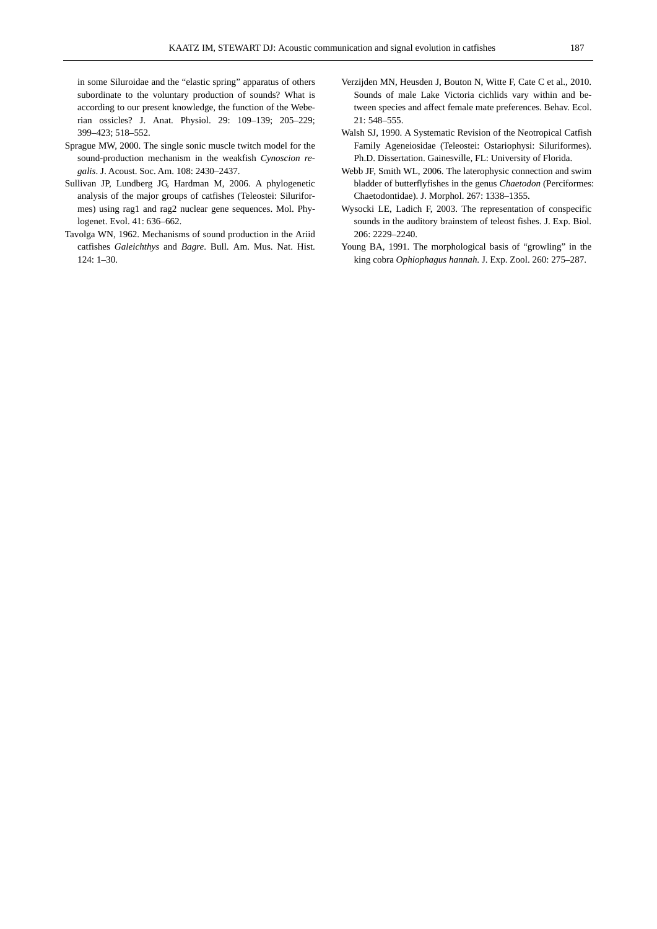in some Siluroidae and the "elastic spring" apparatus of others subordinate to the voluntary production of sounds? What is according to our present knowledge, the function of the Weberian ossicles? J. Anat. Physiol. 29: 109–139; 205–229; 399–423; 518–552.

- Sprague MW, 2000. The single sonic muscle twitch model for the sound-production mechanism in the weakfish *Cynoscion regalis*. J. Acoust. Soc. Am. 108: 2430–2437.
- Sullivan JP, Lundberg JG, Hardman M, 2006. A phylogenetic analysis of the major groups of catfishes (Teleostei: Siluriformes) using rag1 and rag2 nuclear gene sequences. Mol. Phylogenet. Evol. 41: 636–662.
- Tavolga WN, 1962. Mechanisms of sound production in the Ariid catfishes *Galeichthys* and *Bagre*. Bull. Am. Mus. Nat. Hist. 124: 1–30.
- Verzijden MN, Heusden J, Bouton N, Witte F, Cate C et al., 2010. Sounds of male Lake Victoria cichlids vary within and between species and affect female mate preferences. Behav. Ecol. 21: 548–555.
- Walsh SJ, 1990. A Systematic Revision of the Neotropical Catfish Family Ageneiosidae (Teleostei: Ostariophysi: Siluriformes). Ph.D. Dissertation. Gainesville, FL: University of Florida.
- Webb JF, Smith WL, 2006. The laterophysic connection and swim bladder of butterflyfishes in the genus *Chaetodon* (Perciformes: Chaetodontidae). J. Morphol. 267: 1338–1355.
- Wysocki LE, Ladich F, 2003. The representation of conspecific sounds in the auditory brainstem of teleost fishes. J. Exp. Biol. 206: 2229–2240.
- Young BA, 1991. The morphological basis of "growling" in the king cobra *Ophiophagus hannah*. J. Exp. Zool. 260: 275–287.